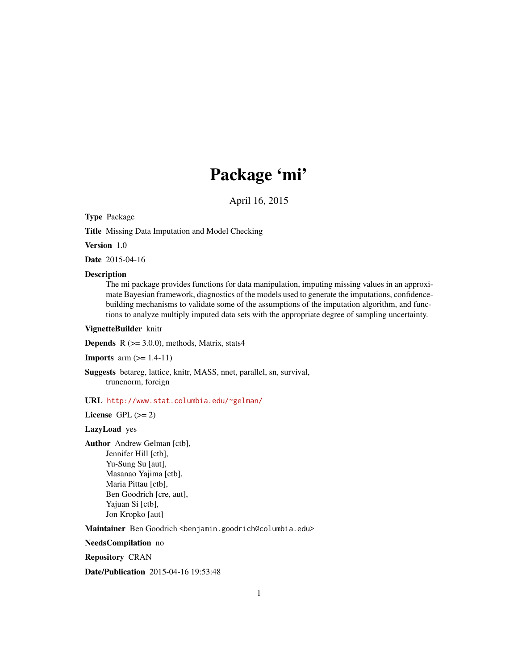# Package 'mi'

April 16, 2015

<span id="page-0-0"></span>Type Package

Title Missing Data Imputation and Model Checking

Version 1.0

Date 2015-04-16

# **Description**

The mi package provides functions for data manipulation, imputing missing values in an approximate Bayesian framework, diagnostics of the models used to generate the imputations, confidencebuilding mechanisms to validate some of the assumptions of the imputation algorithm, and functions to analyze multiply imputed data sets with the appropriate degree of sampling uncertainty.

# VignetteBuilder knitr

**Depends**  $R$  ( $>= 3.0.0$ ), methods, Matrix, stats4

```
Imports arm (>= 1.4-11)
```
Suggests betareg, lattice, knitr, MASS, nnet, parallel, sn, survival, truncnorm, foreign

URL <http://www.stat.columbia.edu/~gelman/>

License GPL  $(>= 2)$ 

# LazyLoad yes

Author Andrew Gelman [ctb], Jennifer Hill [ctb], Yu-Sung Su [aut], Masanao Yajima [ctb], Maria Pittau [ctb], Ben Goodrich [cre, aut], Yajuan Si [ctb], Jon Kropko [aut]

Maintainer Ben Goodrich <br/>benjamin.goodrich@columbia.edu>

NeedsCompilation no

Repository CRAN

Date/Publication 2015-04-16 19:53:48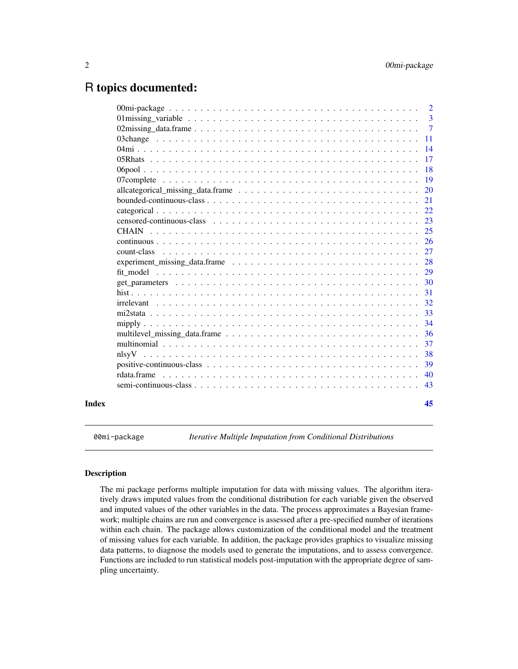# <span id="page-1-0"></span>R topics documented:

|       |                                                                                                                  | 2              |
|-------|------------------------------------------------------------------------------------------------------------------|----------------|
|       | 01 missing variable $\ldots \ldots \ldots \ldots \ldots \ldots \ldots \ldots \ldots \ldots \ldots \ldots \ldots$ | $\overline{3}$ |
|       |                                                                                                                  | $\overline{7}$ |
|       |                                                                                                                  | 11             |
|       |                                                                                                                  | 14             |
|       |                                                                                                                  | 17             |
|       |                                                                                                                  | 18             |
|       |                                                                                                                  | 19             |
|       |                                                                                                                  | 20             |
|       |                                                                                                                  | 21             |
|       |                                                                                                                  | 22             |
|       |                                                                                                                  | 23             |
|       |                                                                                                                  | 25             |
|       |                                                                                                                  | 26             |
|       | count-class                                                                                                      | 27             |
|       | experiment_missing_data.frame $\ldots \ldots \ldots \ldots \ldots \ldots \ldots \ldots \ldots \ldots \ldots$     | 28             |
|       |                                                                                                                  | 29             |
|       |                                                                                                                  | 30             |
|       |                                                                                                                  | 31             |
|       |                                                                                                                  | 32             |
|       |                                                                                                                  | 33             |
|       |                                                                                                                  | 34             |
|       |                                                                                                                  | 36             |
|       |                                                                                                                  | 37             |
|       | nlsvV                                                                                                            | 38             |
|       |                                                                                                                  | 39             |
|       | rdata frame                                                                                                      | 40             |
|       |                                                                                                                  | 43             |
|       |                                                                                                                  |                |
| Index |                                                                                                                  | 45             |

00mi-package *Iterative Multiple Imputation from Conditional Distributions*

# <span id="page-1-1"></span>Description

The mi package performs multiple imputation for data with missing values. The algorithm iteratively draws imputed values from the conditional distribution for each variable given the observed and imputed values of the other variables in the data. The process approximates a Bayesian framework; multiple chains are run and convergence is assessed after a pre-specified number of iterations within each chain. The package allows customization of the conditional model and the treatment of missing values for each variable. In addition, the package provides graphics to visualize missing data patterns, to diagnose the models used to generate the imputations, and to assess convergence. Functions are included to run statistical models post-imputation with the appropriate degree of sampling uncertainty.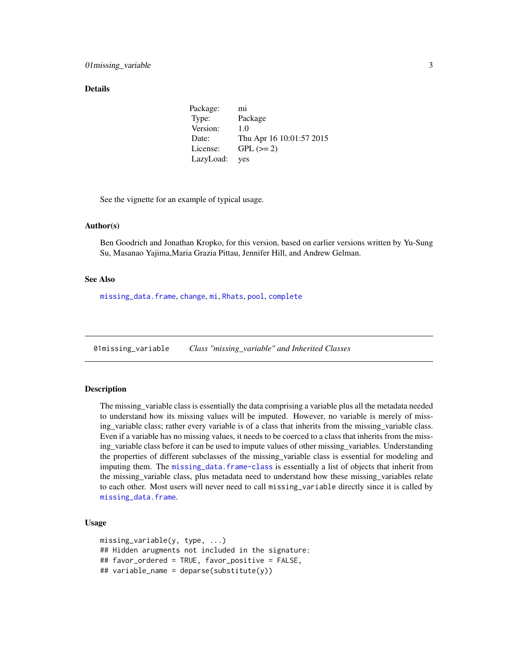#### <span id="page-2-0"></span>Details

Package: mi Type: Package Version: 1.0 Date: Thu Apr 16 10:01:57 2015 License: GPL  $(>= 2)$ LazyLoad: yes

See the vignette for an example of typical usage.

# Author(s)

Ben Goodrich and Jonathan Kropko, for this version, based on earlier versions written by Yu-Sung Su, Masanao Yajima,Maria Grazia Pittau, Jennifer Hill, and Andrew Gelman.

# See Also

[missing\\_data.frame](#page-6-1), [change](#page-10-1), [mi](#page-13-1), [Rhats](#page-16-1), [pool](#page-17-1), [complete](#page-18-1)

01missing\_variable *Class "missing\_variable" and Inherited Classes*

# <span id="page-2-1"></span>Description

The missing\_variable class is essentially the data comprising a variable plus all the metadata needed to understand how its missing values will be imputed. However, no variable is merely of missing\_variable class; rather every variable is of a class that inherits from the missing\_variable class. Even if a variable has no missing values, it needs to be coerced to a class that inherits from the missing\_variable class before it can be used to impute values of other missing\_variables. Understanding the properties of different subclasses of the missing\_variable class is essential for modeling and imputing them. The [missing\\_data.frame-class](#page-6-1) is essentially a list of objects that inherit from the missing\_variable class, plus metadata need to understand how these missing\_variables relate to each other. Most users will never need to call missing\_variable directly since it is called by [missing\\_data.frame](#page-6-1).

#### Usage

```
missing_variable(y, type, ...)
## Hidden arugments not included in the signature:
## favor_ordered = TRUE, favor_positive = FALSE,
## variable_name = deparse(substitute(y))
```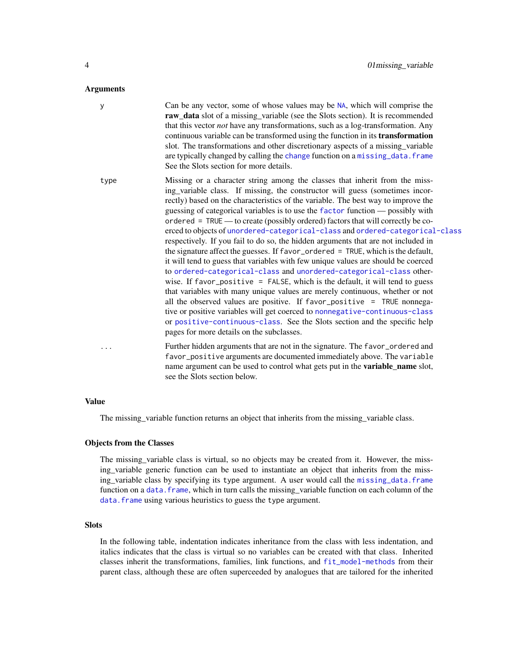#### <span id="page-3-0"></span>Arguments

y Can be any vector, some of whose values may be [NA](#page-0-0), which will comprise the raw\_data slot of a missing\_variable (see the Slots section). It is recommended that this vector *not* have any transformations, such as a log-transformation. Any continuous variable can be transformed using the function in its transformation slot. The transformations and other discretionary aspects of a missing\_variable are typically [change](#page-10-1)d by calling the change function on a missing data. frame See the Slots section for more details. type Missing or a character string among the classes that inherit from the missing\_variable class. If missing, the constructor will guess (sometimes incorrectly) based on the characteristics of the variable. The best way to improve the guessing of categorical variables is to use the [factor](#page-0-0) function — possibly with ordered = TRUE — to create (possibly ordered) factors that will correctly be coerced to objects of [unordered-categorical-class](#page-21-1) and [ordered-categorical-class](#page-21-1) respectively. If you fail to do so, the hidden arguments that are not included in the signature affect the guesses. If favor\_ordered = TRUE, which is the default, it will tend to guess that variables with few unique values are should be coerced to [ordered-categorical-class](#page-21-1) and [unordered-categorical-class](#page-21-1) otherwise. If favor\_positive = FALSE, which is the default, it will tend to guess that variables with many unique values are merely continuous, whether or not all the observed values are positive. If favor\_positive = TRUE nonnegative or positive variables will get coerced to [nonnegative-continuous-class](#page-42-1) or [positive-continuous-class](#page-38-1). See the Slots section and the specific help pages for more details on the subclasses. Further hidden arguments that are not in the signature. The favor\_ordered and favor\_positive arguments are documented immediately above. The variable name argument can be used to control what gets put in the variable\_name slot, see the Slots section below.

#### Value

The missing\_variable function returns an object that inherits from the missing\_variable class.

#### Objects from the Classes

The missing\_variable class is virtual, so no objects may be created from it. However, the missing\_variable generic function can be used to instantiate an object that inherits from the missing\_variable class by specifying its type argument. A user would call the [missing\\_data.frame](#page-6-1) function on a data. frame, which in turn calls the missing\_variable function on each column of the data. frame using various heuristics to guess the type argument.

# **Slots**

In the following table, indentation indicates inheritance from the class with less indentation, and italics indicates that the class is virtual so no variables can be created with that class. Inherited classes inherit the transformations, families, link functions, and [fit\\_model-methods](#page-28-1) from their parent class, although these are often superceeded by analogues that are tailored for the inherited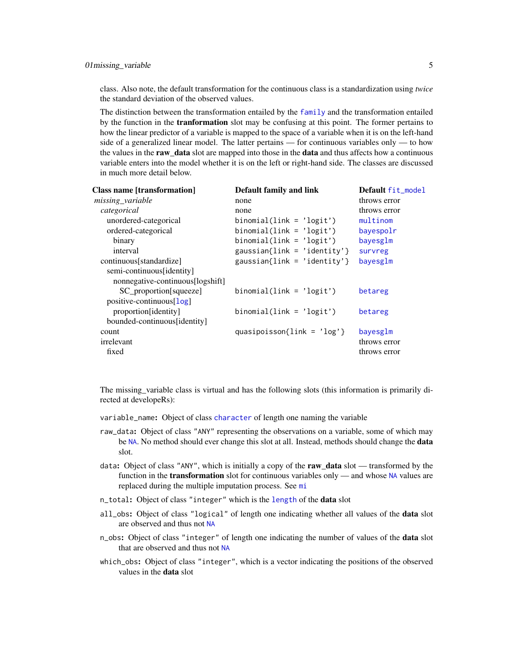<span id="page-4-0"></span>class. Also note, the default transformation for the continuous class is a standardization using *twice* the standard deviation of the observed values.

The distinction between the transformation entailed by the [family](#page-0-0) and the transformation entailed by the function in the **tranformation** slot may be confusing at this point. The former pertains to how the linear predictor of a variable is mapped to the space of a variable when it is on the left-hand side of a generalized linear model. The latter pertains — for continuous variables only — to how the values in the raw\_data slot are mapped into those in the data and thus affects how a continuous variable enters into the model whether it is on the left or right-hand side. The classes are discussed in much more detail below.

| <b>Class name [transformation]</b> | Default family and link           | Default fit_model |
|------------------------------------|-----------------------------------|-------------------|
| missing variable                   | none                              | throws error      |
| categorical                        | none                              | throws error      |
| unordered-categorical              | $binomial(link = 'logit')$        | multinom          |
| ordered-categorical                | $binomial(link = 'logit')$        | bayespolr         |
| binary                             | $binomial(link = 'logit')$        | bayesglm          |
| interval                           | $gaussian{link = 'identity'}$     | survreg           |
| continuous[standardize]            | gaussian{link = 'identity'}       | bayesglm          |
| semi-continuous[identity]          |                                   |                   |
| nonnegative-continuous[logshift]   |                                   |                   |
| SC_proportion[squeeze]             | $binomial(link = 'logit')$        | betareg           |
| positive-continuous[log]           |                                   |                   |
| proportion[identity]               | $binomial(\text{link} = 'logit')$ | betareg           |
| bounded-continuous[identity]       |                                   |                   |
| count                              | quasipoisson{link = $'log'$ }     | bayesglm          |
| irrelevant                         |                                   | throws error      |
| fixed                              |                                   | throws error      |
|                                    |                                   |                   |

The missing\_variable class is virtual and has the following slots (this information is primarily directed at developeRs):

- variable\_name: Object of class [character](#page-0-0) of length one naming the variable
- raw\_data: Object of class "ANY" representing the observations on a variable, some of which may be [NA](#page-0-0). No method should ever change this slot at all. Instead, methods should change the data slot.
- data: Object of class "ANY", which is initially a copy of the raw data slot transformed by the function in the **transformation** slot for continuous variables only — and whose [NA](#page-0-0) values are replaced during the multiple imputation process. See [mi](#page-13-1)
- n\_total: Object of class "integer" which is the [length](#page-0-0) of the data slot
- all\_obs: Object of class "logical" of length one indicating whether all values of the **data** slot are observed and thus not [NA](#page-0-0)
- n\_obs: Object of class "integer" of length one indicating the number of values of the **data** slot that are observed and thus not [NA](#page-0-0)
- which\_obs: Object of class "integer", which is a vector indicating the positions of the observed values in the data slot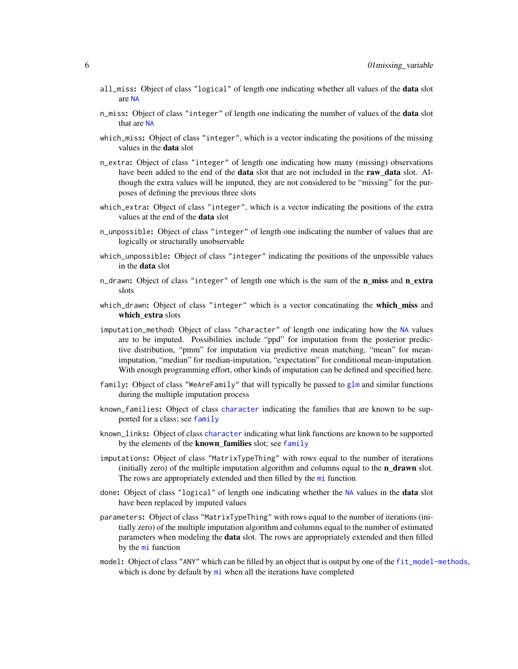- <span id="page-5-0"></span>all\_miss: Object of class "logical" of length one indicating whether all values of the **data** slot are [NA](#page-0-0)
- n\_miss: Object of class "integer" of length one indicating the number of values of the **data** slot that are [NA](#page-0-0)
- which\_miss: Object of class "integer", which is a vector indicating the positions of the missing values in the data slot
- n\_extra: Object of class "integer" of length one indicating how many (missing) observations have been added to the end of the **data** slot that are not included in the **raw\_data** slot. Although the extra values will be imputed, they are not considered to be "missing" for the purposes of defining the previous three slots
- which\_extra: Object of class "integer", which is a vector indicating the positions of the extra values at the end of the data slot
- n\_unpossible: Object of class "integer" of length one indicating the number of values that are logically or structurally unobservable
- which\_unpossible: Object of class "integer" indicating the positions of the unpossible values in the data slot
- n\_drawn: Object of class "integer" of length one which is the sum of the **n** miss and n extra slots
- which\_drawn: Object of class "integer" which is a vector concatinating the which\_miss and which extra slots
- imputation\_method: Object of class "character" of length one indicating how the [NA](#page-0-0) values are to be imputed. Possibilities include "ppd" for imputation from the posterior predictive distribution, "pmm" for imputation via predictive mean matching, "mean" for meanimputation, "median" for median-imputation, "expectation" for conditional mean-imputation. With enough programming effort, other kinds of imputation can be defined and specified here.
- family: Object of class "WeAreFamily" that will typically be passed to [glm](#page-0-0) and similar functions during the multiple imputation process
- known\_families: Object of class [character](#page-0-0) indicating the families that are known to be supported for a class; see [family](#page-0-0)
- known\_links: Object of class [character](#page-0-0) indicating what link functions are known to be supported by the elements of the known\_families slot; see [family](#page-0-0)
- imputations: Object of class "MatrixTypeThing" with rows equal to the number of iterations (initially zero) of the multiple imputation algorithm and columns equal to the  $n_d$  drawn slot. The rows are appropriately extended and then filled by the [mi](#page-13-1) function
- done: Object of class "logical" of length one indicating whether the [NA](#page-0-0) values in the **data** slot have been replaced by imputed values
- parameters: Object of class "MatrixTypeThing" with rows equal to the number of iterations (initially zero) of the multiple imputation algorithm and columns equal to the number of estimated parameters when modeling the data slot. The rows are appropriately extended and then filled by the [mi](#page-13-1) function
- model: Object of class "ANY" which can be filled by an object that is output by one of the [fit\\_model-methods](#page-28-1), which is done by default by  $m$  when all the iterations have completed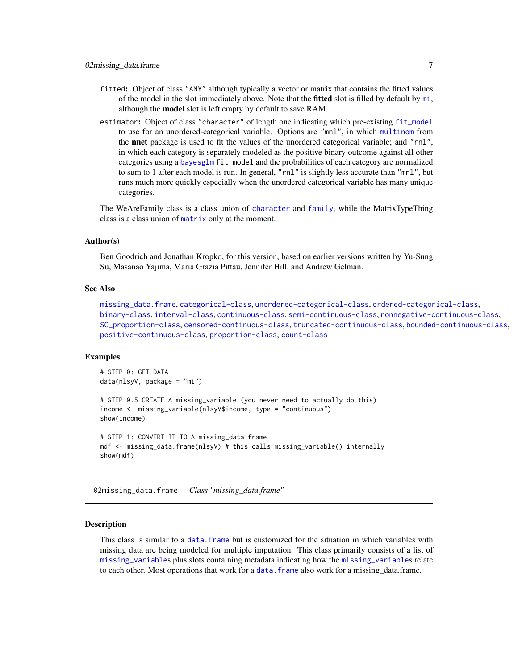- <span id="page-6-0"></span>fitted: Object of class "ANY" although typically a vector or matrix that contains the fitted values of the model in the slot immediately above. Note that the **fitted** slot is filled by default by  $m$ *i*, although the model slot is left empty by default to save RAM.
- estimator: Object of class "character" of length one indicating which pre-existing [fit\\_model](#page-28-2) to use for an unordered-categorical variable. Options are "mnl", in which [multinom](#page-0-0) from the nnet package is used to fit the values of the unordered categorical variable; and "rnl", in which each category is separately modeled as the positive binary outcome against all other categories using a [bayesglm](#page-0-0) fit\_model and the probabilities of each category are normalized to sum to 1 after each model is run. In general, "rnl" is slightly less accurate than "mnl", but runs much more quickly especially when the unordered categorical variable has many unique categories.

The WeAreFamily class is a class union of [character](#page-0-0) and [family](#page-0-0), while the MatrixTypeThing class is a class union of [matrix](#page-0-0) only at the moment.

# Author(s)

Ben Goodrich and Jonathan Kropko, for this version, based on earlier versions written by Yu-Sung Su, Masanao Yajima, Maria Grazia Pittau, Jennifer Hill, and Andrew Gelman.

# See Also

```
missing_data.frame, categorical-class, unordered-categorical-class, ordered-categorical-class,
binary-class, interval-class, continuous-class, semi-continuous-class, nonnegative-continuous-class,
SC_proportion-class, censored-continuous-class, truncated-continuous-class, bounded-continuous-class,
positive-continuous-class, proportion-class, count-class
```
# Examples

```
# STEP 0: GET DATA
data(nlsyV, package = "mi")
# STEP 0.5 CREATE A missing_variable (you never need to actually do this)
income <- missing_variable(nlsyV$income, type = "continuous")
show(income)
# STEP 1: CONVERT IT TO A missing_data.frame
mdf <- missing_data.frame(nlsyV) # this calls missing_variable() internally
show(mdf)
```
02missing\_data.frame *Class "missing\_data.frame"*

# <span id="page-6-1"></span>**Description**

This class is similar to a data. frame but is customized for the situation in which variables with missing data are being modeled for multiple imputation. This class primarily consists of a list of [missing\\_variable](#page-2-1)s plus slots containing metadata indicating how the [missing\\_variable](#page-2-1)s relate to each other. Most operations that work for a [data.frame](#page-0-0) also work for a missing\_data.frame.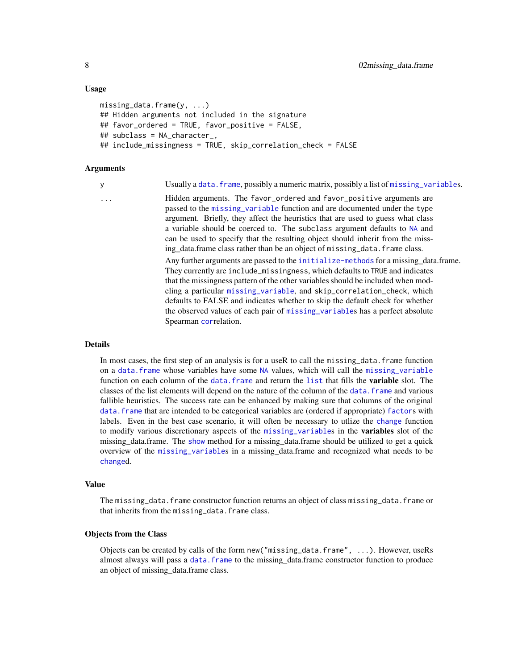#### Usage

```
missing_data.frame(y, ...)
## Hidden arguments not included in the signature
## favor_ordered = TRUE, favor_positive = FALSE,
## subclass = NA_character_,
## include_missingness = TRUE, skip_correlation_check = FALSE
```
# Arguments

y Usually a [data.frame](#page-0-0), possibly a numeric matrix, possibly a list of [missing\\_variable](#page-2-1)s.

... Hidden arguments. The favor\_ordered and favor\_positive arguments are passed to the [missing\\_variable](#page-2-1) function and are documented under the type argument. Briefly, they affect the heuristics that are used to guess what class a variable should be coerced to. The subclass argument defaults to [NA](#page-0-0) and can be used to specify that the resulting object should inherit from the missing\_data.frame class rather than be an object of missing\_data.frame class. Any further arguments are passed to the [initialize-methods](#page-0-0) for a missing\_data.frame. They currently are include\_missingness, which defaults to TRUE and indicates that the missingness pattern of the other variables should be included when modeling a particular [missing\\_variable](#page-2-1), and skip\_correlation\_check, which defaults to FALSE and indicates whether to skip the default check for whether the observed values of each pair of [missing\\_variable](#page-2-1)s has a perfect absolute Spearman [cor](#page-0-0)relation.

# Details

In most cases, the first step of an analysis is for a useR to call the missing\_data.frame function on a [data.frame](#page-0-0) whose variables have some [NA](#page-0-0) values, which will call the [missing\\_variable](#page-2-1) function on each column of the [data.frame](#page-0-0) and return the [list](#page-0-0) that fills the **variable** slot. The classes of the list elements will depend on the nature of the column of the [data.frame](#page-0-0) and various fallible heuristics. The success rate can be enhanced by making sure that columns of the original [data.frame](#page-0-0) that are intended to be categorical variables are (ordered if appropriate) [factor](#page-0-0)s with labels. Even in the best case scenario, it will often be necessary to utlize the [change](#page-10-1) function to modify various discretionary aspects of the [missing\\_variable](#page-2-1)s in the variables slot of the missing\_data.frame. The [show](#page-0-0) method for a missing\_data.frame should be utilized to get a quick overview of the [missing\\_variable](#page-2-1)s in a missing\_data.frame and recognized what needs to be [change](#page-10-1)d.

#### Value

The missing\_data.frame constructor function returns an object of class missing\_data.frame or that inherits from the missing\_data.frame class.

# Objects from the Class

Objects can be created by calls of the form new("missing\_data.frame", ...). However, useRs almost always will pass a [data.frame](#page-0-0) to the missing\_data.frame constructor function to produce an object of missing\_data.frame class.

<span id="page-7-0"></span>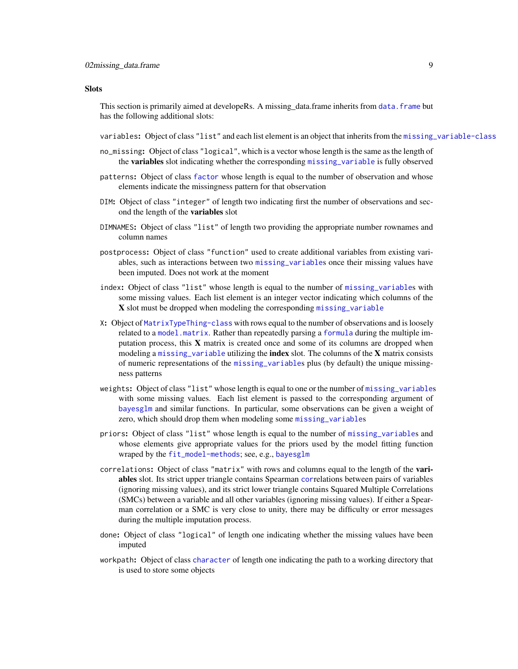#### <span id="page-8-0"></span>**Slots**

This section is primarily aimed at developeRs. A missing\_data.frame inherits from [data.frame](#page-0-0) but has the following additional slots:

- variables: Object of class "list" and each list element is an object that inherits from the [missing\\_variable-class](#page-2-1)
- no\_missing: Object of class "logical", which is a vector whose length is the same as the length of the variables slot indicating whether the corresponding [missing\\_variable](#page-2-1) is fully observed
- patterns: Object of class [factor](#page-0-0) whose length is equal to the number of observation and whose elements indicate the missingness pattern for that observation
- DIM: Object of class "integer" of length two indicating first the number of observations and second the length of the variables slot
- DIMNAMES: Object of class "list" of length two providing the appropriate number rownames and column names
- postprocess: Object of class "function" used to create additional variables from existing variables, such as interactions between two [missing\\_variable](#page-2-1)s once their missing values have been imputed. Does not work at the moment
- index: Object of class "list" whose length is equal to the number of [missing\\_variable](#page-2-1)s with some missing values. Each list element is an integer vector indicating which columns of the X slot must be dropped when modeling the corresponding [missing\\_variable](#page-2-1)
- X: Object of [MatrixTypeThing-class](#page-2-1) with rows equal to the number of observations and is loosely related to a [model.matrix](#page-0-0). Rather than repeatedly parsing a [formula](#page-0-0) during the multiple imputation process, this  $X$  matrix is created once and some of its columns are dropped when modeling a [missing\\_variable](#page-2-1) utilizing the **index** slot. The columns of the **X** matrix consists of numeric representations of the [missing\\_variable](#page-2-1)s plus (by default) the unique missingness patterns
- weights: Object of class "list" whose length is equal to one or the number of [missing\\_variable](#page-2-1)s with some missing values. Each list element is passed to the corresponding argument of [bayesglm](#page-0-0) and similar functions. In particular, some observations can be given a weight of zero, which should drop them when modeling some [missing\\_variable](#page-2-1)s
- priors: Object of class "list" whose length is equal to the number of [missing\\_variable](#page-2-1)s and whose elements give appropriate values for the priors used by the model fitting function wraped by the [fit\\_model-methods](#page-28-1); see, e.g., [bayesglm](#page-0-0)
- correlations: Object of class "matrix" with rows and columns equal to the length of the variables slot. Its strict upper triangle contains Spearman [cor](#page-0-0)relations between pairs of variables (ignoring missing values), and its strict lower triangle contains Squared Multiple Correlations (SMCs) between a variable and all other variables (ignoring missing values). If either a Spearman correlation or a SMC is very close to unity, there may be difficulty or error messages during the multiple imputation process.
- done: Object of class "logical" of length one indicating whether the missing values have been imputed
- workpath: Object of class [character](#page-0-0) of length one indicating the path to a working directory that is used to store some objects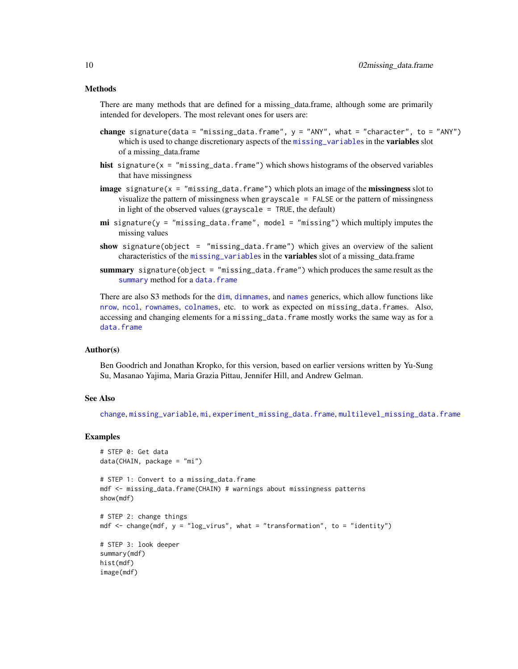# <span id="page-9-0"></span>Methods

There are many methods that are defined for a missing data.frame, although some are primarily intended for developers. The most relevant ones for users are:

- change signature(data = "missing\_data.frame",  $y =$  "ANY", what = "character", to = "ANY") which is used to change discretionary aspects of the [missing\\_variable](#page-2-1)s in the variables slot of a missing\_data.frame
- hist signature( $x =$  "missing\_data.frame") which shows histograms of the observed variables that have missingness
- **image** signature( $x =$  "missing\_data.frame") which plots an image of the **missingness** slot to visualize the pattern of missingness when grayscale = FALSE or the pattern of missingness in light of the observed values (grayscale  $=$  TRUE, the default)
- **mi** signature( $y = "missing_data frame", model = "missing")$  which multiply imputes the missing values
- show signature(object = "missing\_data.frame") which gives an overview of the salient characteristics of the [missing\\_variable](#page-2-1)s in the **variables** slot of a missing data.frame
- summary signature(object = "missing\_data.frame") which produces the same result as the [summary](#page-0-0) method for a [data.frame](#page-0-0)

There are also S3 methods for the [dim](#page-0-0), [dimnames](#page-0-0), and [names](#page-0-0) generics, which allow functions like [nrow](#page-0-0), [ncol](#page-0-0), [rownames](#page-0-0), [colnames](#page-0-0), etc. to work as expected on missing\_data.frames. Also, accessing and changing elements for a missing\_data.frame mostly works the same way as for a [data.frame](#page-0-0)

#### Author(s)

Ben Goodrich and Jonathan Kropko, for this version, based on earlier versions written by Yu-Sung Su, Masanao Yajima, Maria Grazia Pittau, Jennifer Hill, and Andrew Gelman.

#### See Also

[change](#page-10-1), [missing\\_variable](#page-2-1), [mi](#page-13-1), [experiment\\_missing\\_data.frame](#page-27-1), [multilevel\\_missing\\_data.frame](#page-35-1)

# Examples

```
# STEP 0: Get data
data(CHAIN, package = "mi")
# STEP 1: Convert to a missing_data.frame
mdf <- missing_data.frame(CHAIN) # warnings about missingness patterns
show(mdf)
# STEP 2: change things
mdf <- change(mdf, y = "log_virus", what = "transformation", to = "identity")
# STEP 3: look deeper
summary(mdf)
hist(mdf)
image(mdf)
```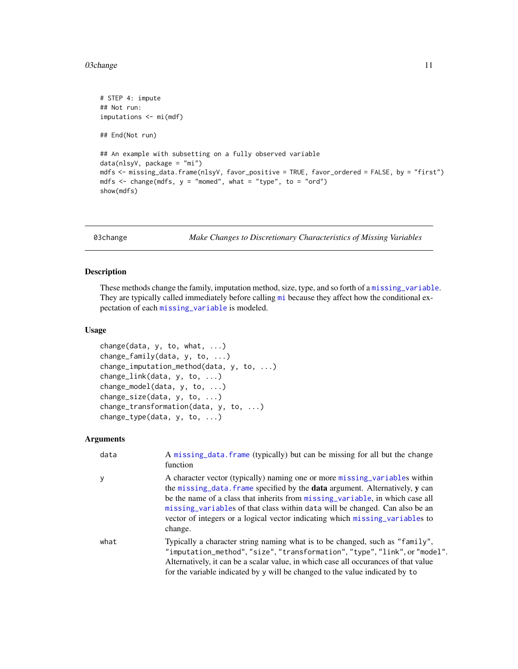#### <span id="page-10-0"></span>03change 11

```
# STEP 4: impute
## Not run:
imputations <- mi(mdf)
## End(Not run)
## An example with subsetting on a fully observed variable
data(nlsyV, package = "mi")
mdfs <- missing_data.frame(nlsyV, favor_positive = TRUE, favor_ordered = FALSE, by = "first")
mdfs \leq change(mdfs, y = "momed", what = "type", to = "ord")
show(mdfs)
```
03change *Make Changes to Discretionary Characteristics of Missing Variables*

# <span id="page-10-1"></span>Description

These methods change the family, imputation method, size, type, and so forth of a [missing\\_variable](#page-2-1). They are typically called immediately before calling [mi](#page-13-1) because they affect how the conditional expectation of each [missing\\_variable](#page-2-1) is modeled.

# Usage

```
change(data, y, to, what, ...)
change_family(data, y, to, ...)
change_imputation_method(data, y, to, ...)
change_link(data, y, to, ...)
change_model(data, y, to, ...)
change_size(data, y, to, ...)
change_transformation(data, y, to, ...)
change_type(data, y, to, ...)
```
# Arguments

| data | A missing_data.frame (typically) but can be missing for all but the change<br>function                                                                                                                                                                                                                                                                                                                                       |
|------|------------------------------------------------------------------------------------------------------------------------------------------------------------------------------------------------------------------------------------------------------------------------------------------------------------------------------------------------------------------------------------------------------------------------------|
| y    | A character vector (typically) naming one or more missing_variables within<br>the missing_data. frame specified by the <b>data</b> argument. Alternatively, y can<br>be the name of a class that inherits from missing variable, in which case all<br>missing variables of that class within data will be changed. Can also be an<br>vector of integers or a logical vector indicating which missing_variables to<br>change. |
| what | Typically a character string naming what is to be changed, such as "family",<br>"imputation_method","size","transformation","type","link", or "model".<br>Alternatively, it can be a scalar value, in which case all occurances of that value<br>for the variable indicated by y will be changed to the value indicated by to                                                                                                |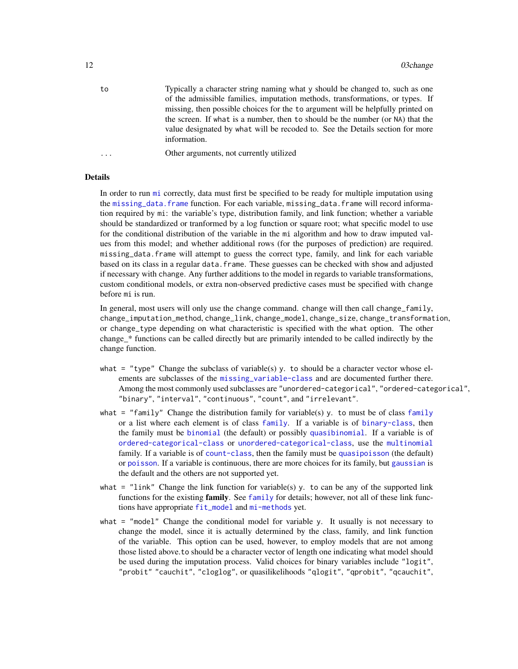<span id="page-11-0"></span>to Typically a character string naming what y should be changed to, such as one of the admissible families, imputation methods, transformations, or types. If missing, then possible choices for the to argument will be helpfully printed on the screen. If what is a number, then to should be the number (or NA) that the value designated by what will be recoded to. See the Details section for more information.

... Other arguments, not currently utilized

# Details

In order to run [mi](#page-13-1) correctly, data must first be specified to be ready for multiple imputation using the [missing\\_data.frame](#page-6-1) function. For each variable, missing\_data.frame will record information required by mi: the variable's type, distribution family, and link function; whether a variable should be standardized or tranformed by a log function or square root; what specific model to use for the conditional distribution of the variable in the mi algorithm and how to draw imputed values from this model; and whether additional rows (for the purposes of prediction) are required. missing\_data.frame will attempt to guess the correct type, family, and link for each variable based on its class in a regular data. frame. These guesses can be checked with show and adjusted if necessary with change. Any further additions to the model in regards to variable transformations, custom conditional models, or extra non-observed predictive cases must be specified with change before mi is run.

In general, most users will only use the change command. change will then call change\_family, change\_imputation\_method, change\_link, change\_model, change\_size, change\_transformation, or change\_type depending on what characteristic is specified with the what option. The other change\_\* functions can be called directly but are primarily intended to be called indirectly by the change function.

- what = "type" Change the subclass of variable(s) y. to should be a character vector whose elements are subclasses of the [missing\\_variable-class](#page-2-1) and are documented further there. Among the most commonly used subclasses are "unordered-categorical", "ordered-categorical", "binary", "interval", "continuous", "count", and "irrelevant".
- what = "[family](#page-0-0)" Change the distribution family for variable(s) y. to must be of class family or a list where each element is of class [family](#page-0-0). If a variable is of [binary-class](#page-21-1), then the family must be [binomial](#page-0-0) (the default) or possibly [quasibinomial](#page-0-0). If a variable is of [ordered-categorical-class](#page-21-1) or [unordered-categorical-class](#page-21-1), use the [multinomial](#page-36-1) family. If a variable is of [count-class](#page-26-1), then the family must be [quasipoisson](#page-0-0) (the default) or [poisson](#page-0-0). If a variable is continuous, there are more choices for its family, but [gaussian](#page-0-0) is the default and the others are not supported yet.
- what  $=$  "link" Change the link function for variable(s) y. to can be any of the supported link functions for the existing [family](#page-0-0). See family for details; however, not all of these link functions have appropriate [fit\\_model](#page-28-2) and [mi-methods](#page-13-1) yet.
- what  $=$  "model" Change the conditional model for variable y. It usually is not necessary to change the model, since it is actually determined by the class, family, and link function of the variable. This option can be used, however, to employ models that are not among those listed above.to should be a character vector of length one indicating what model should be used during the imputation process. Valid choices for binary variables include "logit", "probit" "cauchit", "cloglog", or quasilikelihoods "qlogit", "qprobit", "qcauchit",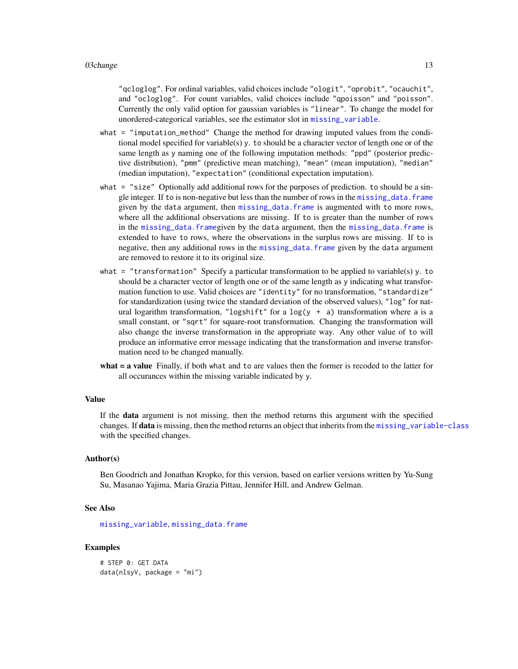<span id="page-12-0"></span>"qcloglog". For ordinal variables, valid choices include "ologit", "oprobit", "ocauchit", and "ocloglog". For count variables, valid choices include "qpoisson" and "poisson". Currently the only valid option for gaussian variables is "linear". To change the model for unordered-categorical variables, see the estimator slot in [missing\\_variable](#page-2-1).

- what = "imputation\_method" Change the method for drawing imputed values from the conditional model specified for variable(s) y. to should be a character vector of length one or of the same length as y naming one of the following imputation methods: "ppd" (posterior predictive distribution), "pmm" (predictive mean matching), "mean" (mean imputation), "median" (median imputation), "expectation" (conditional expectation imputation).
- what = "size" Optionally add additional rows for the purposes of prediction, to should be a single integer. If to is non-negative but less than the number of rows in the [missing\\_data.frame](#page-6-1) given by the data argument, then [missing\\_data.frame](#page-6-1) is augmented with to more rows, where all the additional observations are missing. If to is greater than the number of rows in the [missing\\_data.frame](#page-6-1)given by the data argument, then the [missing\\_data.frame](#page-6-1) is extended to have to rows, where the observations in the surplus rows are missing. If to is negative, then any additional rows in the [missing\\_data.frame](#page-6-1) given by the data argument are removed to restore it to its original size.
- what  $=$  "transformation" Specify a particular transformation to be applied to variable(s) y. to should be a character vector of length one or of the same length as y indicating what transformation function to use. Valid choices are "identity" for no transformation, "standardize" for standardization (using twice the standard deviation of the observed values), "log" for natural logarithm transformation, "logshift" for a  $log(y + a)$  transformation where a is a small constant, or "sqrt" for square-root transformation. Changing the transformation will also change the inverse transformation in the appropriate way. Any other value of to will produce an informative error message indicating that the transformation and inverse transformation need to be changed manually.
- what = a value Finally, if both what and to are values then the former is recoded to the latter for all occurances within the missing variable indicated by y.

# Value

If the data argument is not missing, then the method returns this argument with the specified changes. If **data** is missing, then the method returns an object that inherits from the missing variable-class with the specified changes.

# Author(s)

Ben Goodrich and Jonathan Kropko, for this version, based on earlier versions written by Yu-Sung Su, Masanao Yajima, Maria Grazia Pittau, Jennifer Hill, and Andrew Gelman.

#### See Also

[missing\\_variable](#page-2-1), [missing\\_data.frame](#page-6-1)

# Examples

# STEP 0: GET DATA data(nlsyV, package = "mi")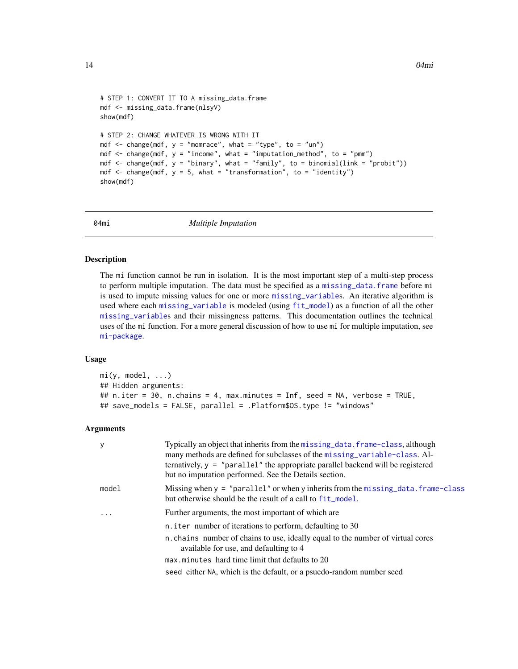```
# STEP 1: CONVERT IT TO A missing_data.frame
mdf <- missing_data.frame(nlsyV)
show(mdf)
# STEP 2: CHANGE WHATEVER IS WRONG WITH IT
mdf \le - change(mdf, y = "momrace", what = "type", to = "un")
mdf \leq change(mdf, y = "income", what = "imputation_method", to = "pmm")
mdf \le change(mdf, y = "binary", what = "family", to = binomial(link = "probit"))
mdf \leq change(mdf, y = 5, what = "transformation", to = "identity")
show(mdf)
```
04mi *Multiple Imputation*

# <span id="page-13-1"></span>Description

The mi function cannot be run in isolation. It is the most important step of a multi-step process to perform multiple imputation. The data must be specified as a [missing\\_data.frame](#page-6-1) before mi is used to impute missing values for one or more [missing\\_variable](#page-2-1)s. An iterative algorithm is used where each [missing\\_variable](#page-2-1) is modeled (using [fit\\_model](#page-28-2)) as a function of all the other [missing\\_variable](#page-2-1)s and their missingness patterns. This documentation outlines the technical uses of the mi function. For a more general discussion of how to use mi for multiple imputation, see [mi-package](#page-1-1).

# Usage

```
mi(y, model, ...)## Hidden arguments:
## n.iter = 30, n.chains = 4, max.minutes = Inf, seed = NA, verbose = TRUE,
## save_models = FALSE, parallel = .Platform$OS.type != "windows"
```
#### Arguments

| y       | Typically an object that inherits from the missing data. frame-class, although<br>many methods are defined for subclasses of the missing variable-class. Al-<br>ternatively, $y =$ "parallel" the appropriate parallel backend will be registered<br>but no imputation performed. See the Details section. |
|---------|------------------------------------------------------------------------------------------------------------------------------------------------------------------------------------------------------------------------------------------------------------------------------------------------------------|
| model   | Missing when $y =$ "parallel" or when y inherits from the missing data. frame-class<br>but otherwise should be the result of a call to fit_model.                                                                                                                                                          |
| $\cdot$ | Further arguments, the most important of which are                                                                                                                                                                                                                                                         |
|         | n. iter number of iterations to perform, defaulting to 30                                                                                                                                                                                                                                                  |
|         | n chains number of chains to use, ideally equal to the number of virtual cores<br>available for use, and defaulting to 4                                                                                                                                                                                   |
|         | max minutes hard time limit that defaults to 20                                                                                                                                                                                                                                                            |
|         | seed either NA, which is the default, or a psuedo-random number seed                                                                                                                                                                                                                                       |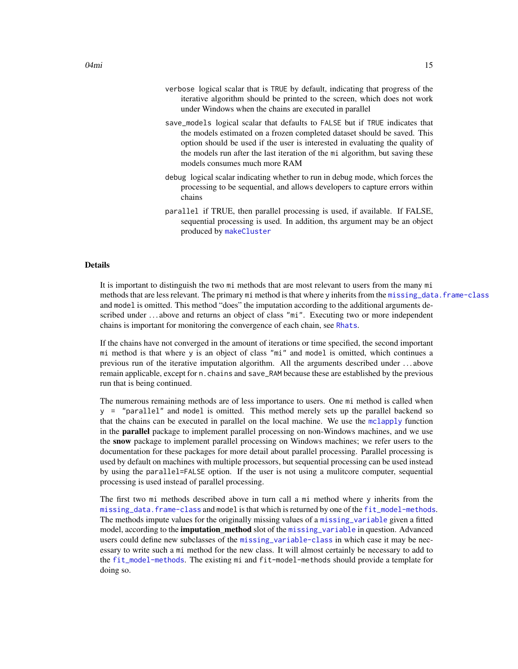- <span id="page-14-0"></span>verbose logical scalar that is TRUE by default, indicating that progress of the iterative algorithm should be printed to the screen, which does not work under Windows when the chains are executed in parallel
- save\_models logical scalar that defaults to FALSE but if TRUE indicates that the models estimated on a frozen completed dataset should be saved. This option should be used if the user is interested in evaluating the quality of the models run after the last iteration of the mi algorithm, but saving these models consumes much more RAM
- debug logical scalar indicating whether to run in debug mode, which forces the processing to be sequential, and allows developers to capture errors within chains
- parallel if TRUE, then parallel processing is used, if available. If FALSE, sequential processing is used. In addition, ths argument may be an object produced by [makeCluster](#page-0-0)

# Details

It is important to distinguish the two mi methods that are most relevant to users from the many mi methods that are less relevant. The primary mi method is that where y inherits from the [missing\\_data.frame-class](#page-6-1) and model is omitted. This method "does" the imputation according to the additional arguments described under ...above and returns an object of class "mi". Executing two or more independent chains is important for monitoring the convergence of each chain, see [Rhats](#page-16-1).

If the chains have not converged in the amount of iterations or time specified, the second important mi method is that where y is an object of class "mi" and model is omitted, which continues a previous run of the iterative imputation algorithm. All the arguments described under . . . above remain applicable, except for n.chains and save\_RAM because these are established by the previous run that is being continued.

The numerous remaining methods are of less importance to users. One mi method is called when y = "parallel" and model is omitted. This method merely sets up the parallel backend so that the chains can be executed in parallel on the local machine. We use the [mclapply](#page-0-0) function in the parallel package to implement parallel processing on non-Windows machines, and we use the snow package to implement parallel processing on Windows machines; we refer users to the documentation for these packages for more detail about parallel processing. Parallel processing is used by default on machines with multiple processors, but sequential processing can be used instead by using the parallel=FALSE option. If the user is not using a mulitcore computer, sequential processing is used instead of parallel processing.

The first two mi methods described above in turn call a mi method where y inherits from the [missing\\_data.frame-class](#page-6-1) and model is that which is returned by one of the [fit\\_model-methods](#page-28-1). The methods impute values for the originally missing values of a [missing\\_variable](#page-2-1) given a fitted model, according to the **imputation\_method** slot of the [missing\\_variable](#page-2-1) in question. Advanced users could define new subclasses of the [missing\\_variable-class](#page-2-1) in which case it may be necessary to write such a mi method for the new class. It will almost certainly be necessary to add to the [fit\\_model-methods](#page-28-1). The existing mi and fit-model-methods should provide a template for doing so.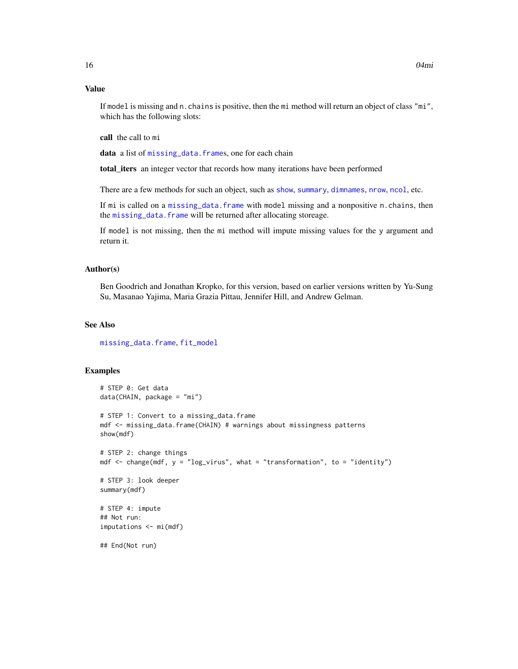# <span id="page-15-0"></span>Value

If model is missing and n.chains is positive, then the mi method will return an object of class "mi", which has the following slots:

call the call to mi

data a list of [missing\\_data.frame](#page-6-1)s, one for each chain

total\_iters an integer vector that records how many iterations have been performed

There are a few methods for such an object, such as [show](#page-0-0), [summary](#page-0-0), [dimnames](#page-0-0), [nrow](#page-0-0), [ncol](#page-0-0), etc.

If mi is called on a [missing\\_data.frame](#page-6-1) with model missing and a nonpositive n.chains, then the [missing\\_data.frame](#page-6-1) will be returned after allocating storeage.

If model is not missing, then the mi method will impute missing values for the y argument and return it.

#### Author(s)

Ben Goodrich and Jonathan Kropko, for this version, based on earlier versions written by Yu-Sung Su, Masanao Yajima, Maria Grazia Pittau, Jennifer Hill, and Andrew Gelman.

# See Also

[missing\\_data.frame](#page-6-1), [fit\\_model](#page-28-2)

# Examples

```
# STEP 0: Get data
data(CHAIN, package = "mi")
# STEP 1: Convert to a missing_data.frame
mdf <- missing_data.frame(CHAIN) # warnings about missingness patterns
show(mdf)
# STEP 2: change things
mdf \le - change(mdf, y = "log_virus", what = "transformation", to = "identity")
# STEP 3: look deeper
summary(mdf)
# STEP 4: impute
## Not run:
imputations <- mi(mdf)
```
## End(Not run)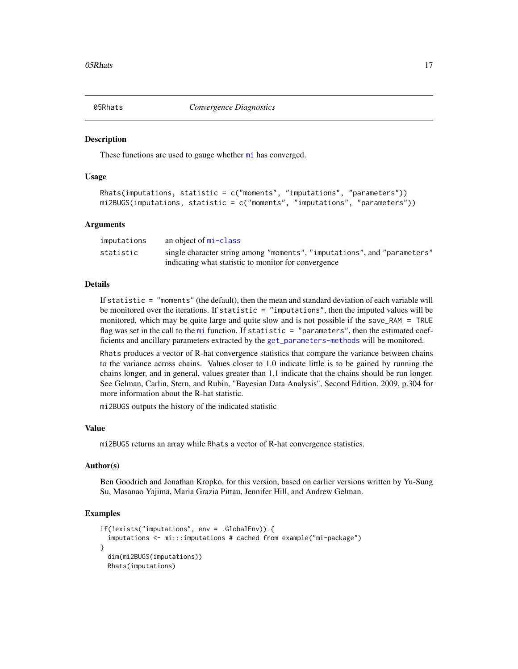<span id="page-16-0"></span>

#### <span id="page-16-1"></span>Description

These functions are used to gauge whether [mi](#page-13-1) has converged.

# Usage

```
Rhats(imputations, statistic = c("moments", "imputations", "parameters"))
mi2BUGS(imputations, statistic = c("moments", "imputations", "parameters"))
```
#### Arguments

| imputations | an object of mi-class                                                    |
|-------------|--------------------------------------------------------------------------|
| statistic   | single character string among "moments", "imputations", and "parameters" |
|             | indicating what statistic to monitor for convergence                     |

# Details

If statistic = "moments" (the default), then the mean and standard deviation of each variable will be monitored over the iterations. If statistic  $=$  "imputations", then the imputed values will be monitored, which may be quite large and quite slow and is not possible if the save\_RAM = TRUE flag was set in the call to the [mi](#page-13-1) function. If statistic = "parameters", then the estimated coefficients and ancillary parameters extracted by the [get\\_parameters-methods](#page-29-1) will be monitored.

Rhats produces a vector of R-hat convergence statistics that compare the variance between chains to the variance across chains. Values closer to 1.0 indicate little is to be gained by running the chains longer, and in general, values greater than 1.1 indicate that the chains should be run longer. See Gelman, Carlin, Stern, and Rubin, "Bayesian Data Analysis", Second Edition, 2009, p.304 for more information about the R-hat statistic.

mi2BUGS outputs the history of the indicated statistic

# Value

mi2BUGS returns an array while Rhats a vector of R-hat convergence statistics.

# Author(s)

Ben Goodrich and Jonathan Kropko, for this version, based on earlier versions written by Yu-Sung Su, Masanao Yajima, Maria Grazia Pittau, Jennifer Hill, and Andrew Gelman.

# Examples

```
if(!exists("imputations", env = .GlobalEnv)) {
  imputations <- mi:::imputations # cached from example("mi-package")
}
 dim(mi2BUGS(imputations))
 Rhats(imputations)
```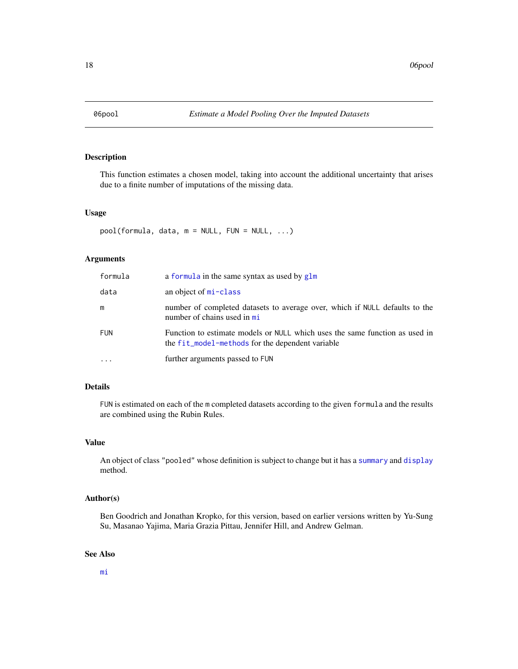<span id="page-17-0"></span>

# <span id="page-17-1"></span>Description

This function estimates a chosen model, taking into account the additional uncertainty that arises due to a finite number of imputations of the missing data.

#### Usage

```
pool(formula, data, m = NULL, FUN = NULL, ...)
```
# Arguments

| formula    | a formula in the same syntax as used by glm                                                                                     |
|------------|---------------------------------------------------------------------------------------------------------------------------------|
| data       | an object of mi-class                                                                                                           |
| m          | number of completed datasets to average over, which if NULL defaults to the<br>number of chains used in mi                      |
| <b>FUN</b> | Function to estimate models or NULL which uses the same function as used in<br>the fit_model-methods for the dependent variable |
| .          | further arguments passed to FUN                                                                                                 |

# Details

FUN is estimated on each of the m completed datasets according to the given formula and the results are combined using the Rubin Rules.

# Value

An object of class "pooled" whose definition is subject to change but it has a [summary](#page-0-0) and [display](#page-0-0) method.

# Author(s)

Ben Goodrich and Jonathan Kropko, for this version, based on earlier versions written by Yu-Sung Su, Masanao Yajima, Maria Grazia Pittau, Jennifer Hill, and Andrew Gelman.

# See Also

[mi](#page-13-1)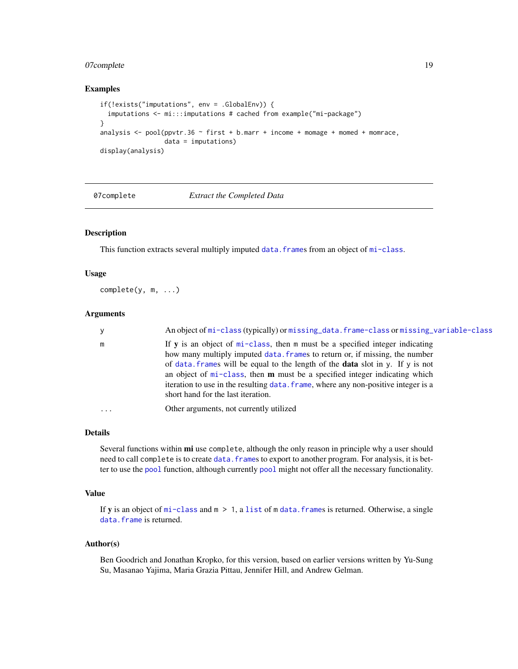# <span id="page-18-0"></span>07complete 19

# Examples

```
if(!exists("imputations", env = .GlobalEnv)) {
 imputations <- mi:::imputations # cached from example("mi-package")
}
analysis \leq pool(ppvtr.36 \sim first + b.marr + income + momage + momed + momrace,
                 data = imputations)
display(analysis)
```
07complete *Extract the Completed Data*

# <span id="page-18-1"></span>Description

This function extracts several multiply imputed data. frames from an object of [mi-class](#page-13-1).

# Usage

complete(y, m, ...)

# Arguments

| У        | An object of mi-class (typically) or missing_data.frame-class or missing_variable-class                                                                                                                                                                                                                                                                                                                                                                                 |
|----------|-------------------------------------------------------------------------------------------------------------------------------------------------------------------------------------------------------------------------------------------------------------------------------------------------------------------------------------------------------------------------------------------------------------------------------------------------------------------------|
| m        | If y is an object of $mi$ -class, then $m$ must be a specified integer indicating<br>how many multiply imputed data. frames to return or, if missing, the number<br>of data frames will be equal to the length of the <b>data</b> slot in y. If y is not<br>an object of $mi$ -class, then $m$ must be a specified integer indicating which<br>iteration to use in the resulting data. frame, where any non-positive integer is a<br>short hand for the last iteration. |
| $\cdots$ | Other arguments, not currently utilized                                                                                                                                                                                                                                                                                                                                                                                                                                 |

# Details

Several functions within **mi** use complete, although the only reason in principle why a user should need to call complete is to create [data.frame](#page-0-0)s to export to another program. For analysis, it is better to use the [pool](#page-17-1) function, although currently [pool](#page-17-1) might not offer all the necessary functionality.

# Value

If **y** is an object of  $mi$ -class and  $m > 1$ , a [list](#page-0-0) of m data. frames is returned. Otherwise, a single [data.frame](#page-0-0) is returned.

# Author(s)

Ben Goodrich and Jonathan Kropko, for this version, based on earlier versions written by Yu-Sung Su, Masanao Yajima, Maria Grazia Pittau, Jennifer Hill, and Andrew Gelman.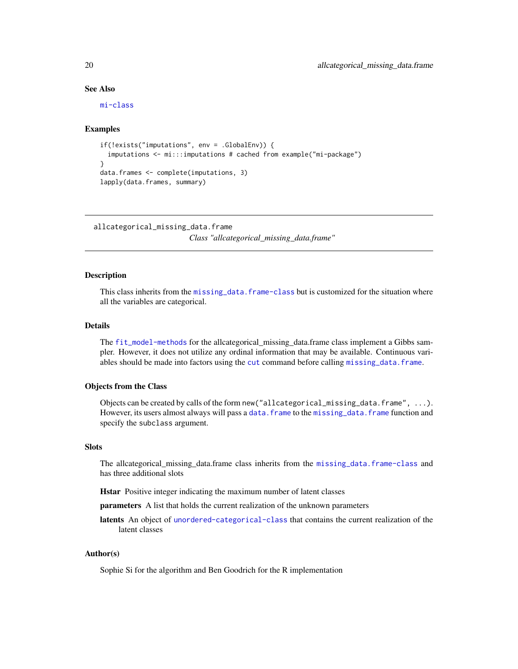# See Also

[mi-class](#page-13-1)

# Examples

```
if(!exists("imputations", env = .GlobalEnv)) {
  imputations <- mi:::imputations # cached from example("mi-package")
}
data.frames <- complete(imputations, 3)
lapply(data.frames, summary)
```
allcategorical\_missing\_data.frame

*Class "allcategorical\_missing\_data.frame"*

# Description

This class inherits from the [missing\\_data.frame-class](#page-6-1) but is customized for the situation where all the variables are categorical.

# Details

The [fit\\_model-methods](#page-28-1) for the allcategorical\_missing\_data.frame class implement a Gibbs sampler. However, it does not utilize any ordinal information that may be available. Continuous variables should be made into factors using the [cut](#page-0-0) command before calling [missing\\_data.frame](#page-6-1).

#### Objects from the Class

Objects can be created by calls of the form new ("allcategorical\_missing\_data.frame",  $\dots$ ). However, its users almost always will pass a [data.frame](#page-0-0) to the [missing\\_data.frame](#page-6-1) function and specify the subclass argument.

# **Slots**

The allcategorical\_missing\_data.frame class inherits from the [missing\\_data.frame-class](#page-6-1) and has three additional slots

Hstar Positive integer indicating the maximum number of latent classes

parameters A list that holds the current realization of the unknown parameters

latents An object of [unordered-categorical-class](#page-21-1) that contains the current realization of the latent classes

# Author(s)

Sophie Si for the algorithm and Ben Goodrich for the R implementation

<span id="page-19-0"></span>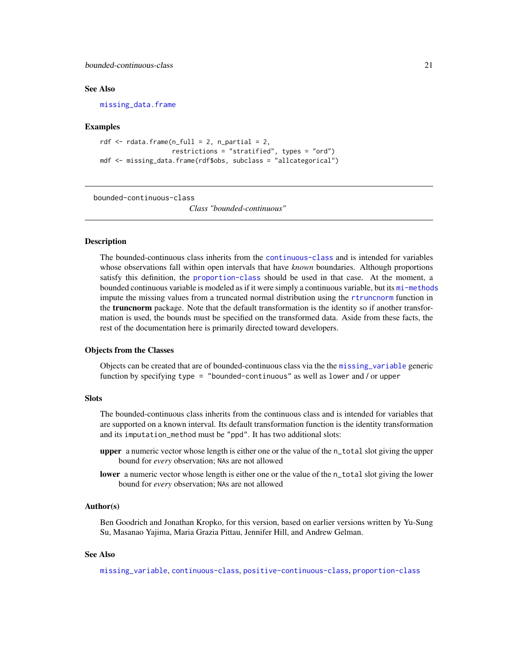<span id="page-20-0"></span>bounded-continuous-class 21

# See Also

[missing\\_data.frame](#page-6-1)

# Examples

```
rdf \leq rdata.frame(n_full = 2, n_partial = 2,
                   restrictions = "stratified", types = "ord")
mdf <- missing_data.frame(rdf$obs, subclass = "allcategorical")
```
<span id="page-20-1"></span>bounded-continuous-class

*Class "bounded-continuous"*

# <span id="page-20-2"></span>Description

The bounded-continuous class inherits from the [continuous-class](#page-25-1) and is intended for variables whose observations fall within open intervals that have *known* boundaries. Although proportions satisfy this definition, the [proportion-class](#page-38-2) should be used in that case. At the moment, a bounded continuous variable is modeled as if it were simply a continuous variable, but its [mi-methods](#page-13-1) impute the missing values from a truncated normal distribution using the [rtruncnorm](#page-0-0) function in the **truncnorm** package. Note that the default transformation is the identity so if another transformation is used, the bounds must be specified on the transformed data. Aside from these facts, the rest of the documentation here is primarily directed toward developers.

#### Objects from the Classes

Objects can be created that are of bounded-continuous class via the the [missing\\_variable](#page-2-1) generic function by specifying type = "bounded-continuous" as well as lower and / or upper

# **Slots**

The bounded-continuous class inherits from the continuous class and is intended for variables that are supported on a known interval. Its default transformation function is the identity transformation and its imputation\_method must be "ppd". It has two additional slots:

- upper a numeric vector whose length is either one or the value of the n\_total slot giving the upper bound for *every* observation; NAs are not allowed
- lower a numeric vector whose length is either one or the value of the n\_total slot giving the lower bound for *every* observation; NAs are not allowed

#### Author(s)

Ben Goodrich and Jonathan Kropko, for this version, based on earlier versions written by Yu-Sung Su, Masanao Yajima, Maria Grazia Pittau, Jennifer Hill, and Andrew Gelman.

#### See Also

[missing\\_variable](#page-2-1), [continuous-class](#page-25-1), [positive-continuous-class](#page-38-1), [proportion-class](#page-38-2)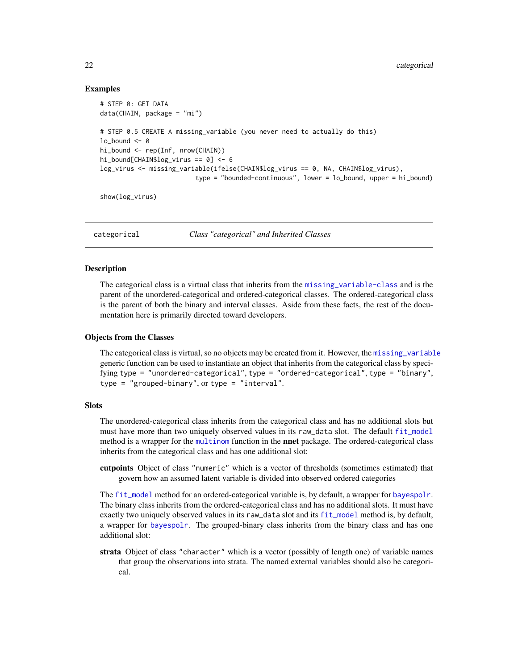# Examples

```
# STEP 0: GET DATA
data(CHAIN, package = "mi")
# STEP 0.5 CREATE A missing_variable (you never need to actually do this)
lo\_bound \leq -0hi_bound <- rep(Inf, nrow(CHAIN))
hi_bound[CHAIN$log_virus == 0] <- 6
log_virus <- missing_variable(ifelse(CHAIN$log_virus == 0, NA, CHAIN$log_virus),
                         type = "bounded-continuous", lower = lo_bound, upper = hi_bound)
show(log_virus)
```
categorical *Class "categorical" and Inherited Classes*

# <span id="page-21-1"></span>Description

The categorical class is a virtual class that inherits from the [missing\\_variable-class](#page-2-1) and is the parent of the unordered-categorical and ordered-categorical classes. The ordered-categorical class is the parent of both the binary and interval classes. Aside from these facts, the rest of the documentation here is primarily directed toward developers.

# Objects from the Classes

The categorical class is virtual, so no objects may be created from it. However, the missing variable generic function can be used to instantiate an object that inherits from the categorical class by specifying type = "unordered-categorical", type = "ordered-categorical", type = "binary", type = "grouped-binary", or type = "interval".

# **Slots**

The unordered-categorical class inherits from the categorical class and has no additional slots but must have more than two uniquely observed values in its raw\_data slot. The default [fit\\_model](#page-28-2) method is a wrapper for the [multinom](#page-0-0) function in the **nnet** package. The ordered-categorical class inherits from the categorical class and has one additional slot:

cutpoints Object of class "numeric" which is a vector of thresholds (sometimes estimated) that govern how an assumed latent variable is divided into observed ordered categories

The [fit\\_model](#page-28-2) method for an ordered-categorical variable is, by default, a wrapper for [bayespolr](#page-0-0). The binary class inherits from the ordered-categorical class and has no additional slots. It must have exactly two uniquely observed values in its raw\_data slot and its [fit\\_model](#page-28-2) method is, by default, a wrapper for [bayespolr](#page-0-0). The grouped-binary class inherits from the binary class and has one additional slot:

strata Object of class "character" which is a vector (possibly of length one) of variable names that group the observations into strata. The named external variables should also be categorical.

<span id="page-21-0"></span>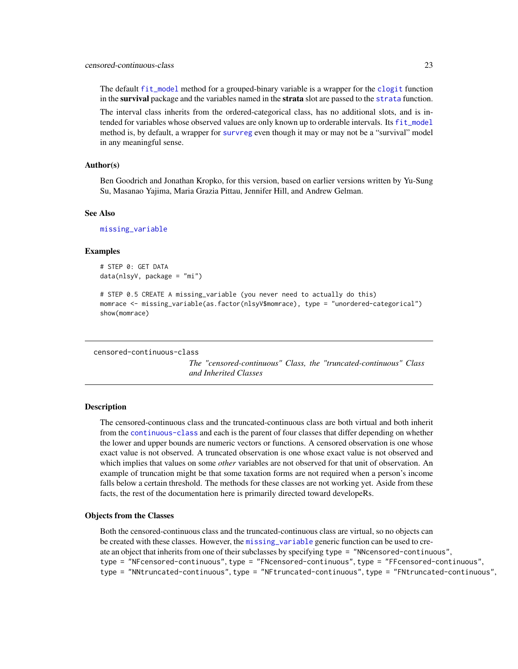#### <span id="page-22-0"></span>censored-continuous-class 23

The default [fit\\_model](#page-28-2) method for a grouped-binary variable is a wrapper for the [clogit](#page-0-0) function in the survival package and the variables named in the strata slot are passed to the [strata](#page-0-0) function.

The interval class inherits from the ordered-categorical class, has no additional slots, and is intended for variables whose observed values are only known up to orderable intervals. Its [fit\\_model](#page-28-2) method is, by default, a wrapper for [survreg](#page-0-0) even though it may or may not be a "survival" model in any meaningful sense.

#### Author(s)

Ben Goodrich and Jonathan Kropko, for this version, based on earlier versions written by Yu-Sung Su, Masanao Yajima, Maria Grazia Pittau, Jennifer Hill, and Andrew Gelman.

#### See Also

[missing\\_variable](#page-2-1)

# Examples

```
# STEP 0: GET DATA
data(nlsyV, package = "mi")
```

```
# STEP 0.5 CREATE A missing_variable (you never need to actually do this)
momrace <- missing_variable(as.factor(nlsyV$momrace), type = "unordered-categorical")
show(momrace)
```

```
censored-continuous-class
```
*The "censored-continuous" Class, the "truncated-continuous" Class and Inherited Classes*

#### <span id="page-22-2"></span>Description

The censored-continuous class and the truncated-continuous class are both virtual and both inherit from the [continuous-class](#page-25-1) and each is the parent of four classes that differ depending on whether the lower and upper bounds are numeric vectors or functions. A censored observation is one whose exact value is not observed. A truncated observation is one whose exact value is not observed and which implies that values on some *other* variables are not observed for that unit of observation. An example of truncation might be that some taxation forms are not required when a person's income falls below a certain threshold. The methods for these classes are not working yet. Aside from these facts, the rest of the documentation here is primarily directed toward developeRs.

#### Objects from the Classes

Both the censored-continuous class and the truncated-continuous class are virtual, so no objects can be created with these classes. However, the [missing\\_variable](#page-2-1) generic function can be used to create an object that inherits from one of their subclasses by specifying type = "NNcensored-continuous", type = "NFcensored-continuous", type = "FNcensored-continuous", type = "FFcensored-continuous", type = "NNtruncated-continuous", type = "NFtruncated-continuous", type = "FNtruncated-continuous",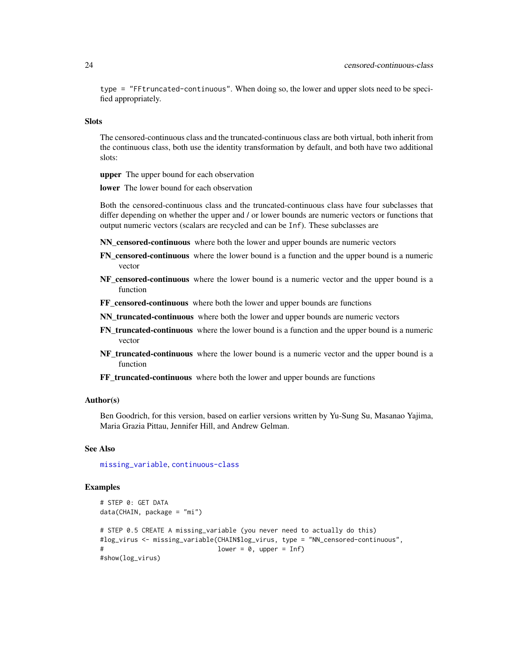type = "FFtruncated-continuous". When doing so, the lower and upper slots need to be specified appropriately.

#### **Slots**

The censored-continuous class and the truncated-continuous class are both virtual, both inherit from the continuous class, both use the identity transformation by default, and both have two additional slots:

upper The upper bound for each observation

lower The lower bound for each observation

Both the censored-continuous class and the truncated-continuous class have four subclasses that differ depending on whether the upper and / or lower bounds are numeric vectors or functions that output numeric vectors (scalars are recycled and can be Inf). These subclasses are

NN censored-continuous where both the lower and upper bounds are numeric vectors

- FN\_censored-continuous where the lower bound is a function and the upper bound is a numeric vector
- NF\_censored-continuous where the lower bound is a numeric vector and the upper bound is a function
- FF censored-continuous where both the lower and upper bounds are functions
- NN\_truncated-continuous where both the lower and upper bounds are numeric vectors
- FN\_truncated-continuous where the lower bound is a function and the upper bound is a numeric vector
- NF truncated-continuous where the lower bound is a numeric vector and the upper bound is a function
- FF truncated-continuous where both the lower and upper bounds are functions

# Author(s)

Ben Goodrich, for this version, based on earlier versions written by Yu-Sung Su, Masanao Yajima, Maria Grazia Pittau, Jennifer Hill, and Andrew Gelman.

# See Also

[missing\\_variable](#page-2-1), [continuous-class](#page-25-1)

# Examples

```
# STEP 0: GET DATA
data(CHAIN, package = "mi")
# STEP 0.5 CREATE A missing_variable (you never need to actually do this)
#log_virus <- missing_variable(CHAIN$log_virus, type = "NN_censored-continuous",
                               lower = 0, upper = Inf)
#show(log_virus)
```
<span id="page-23-0"></span>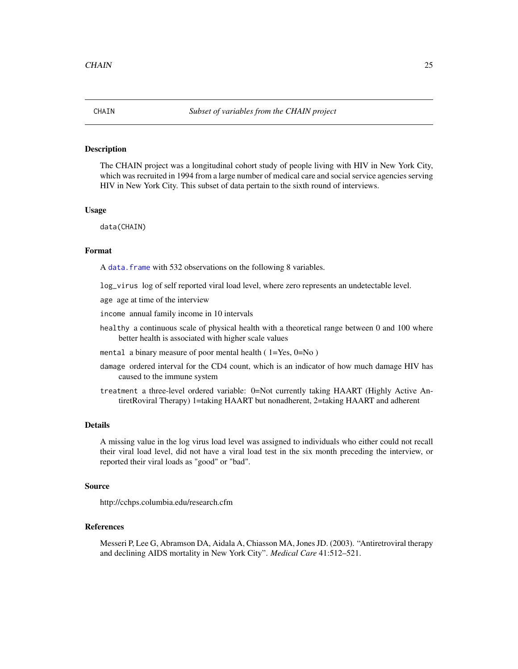<span id="page-24-0"></span>

# **Description**

The CHAIN project was a longitudinal cohort study of people living with HIV in New York City, which was recruited in 1994 from a large number of medical care and social service agencies serving HIV in New York City. This subset of data pertain to the sixth round of interviews.

#### Usage

data(CHAIN)

# Format

A data. frame with 532 observations on the following 8 variables.

log\_virus log of self reported viral load level, where zero represents an undetectable level.

age age at time of the interview

income annual family income in 10 intervals

- healthy a continuous scale of physical health with a theoretical range between 0 and 100 where better health is associated with higher scale values
- mental a binary measure of poor mental health  $(1=Yes, 0=No)$
- damage ordered interval for the CD4 count, which is an indicator of how much damage HIV has caused to the immune system

treatment a three-level ordered variable: 0=Not currently taking HAART (Highly Active AntiretRoviral Therapy) 1=taking HAART but nonadherent, 2=taking HAART and adherent

## Details

A missing value in the log virus load level was assigned to individuals who either could not recall their viral load level, did not have a viral load test in the six month preceding the interview, or reported their viral loads as "good" or "bad".

# Source

http://cchps.columbia.edu/research.cfm

# References

Messeri P, Lee G, Abramson DA, Aidala A, Chiasson MA, Jones JD. (2003). "Antiretroviral therapy and declining AIDS mortality in New York City". *Medical Care* 41:512–521.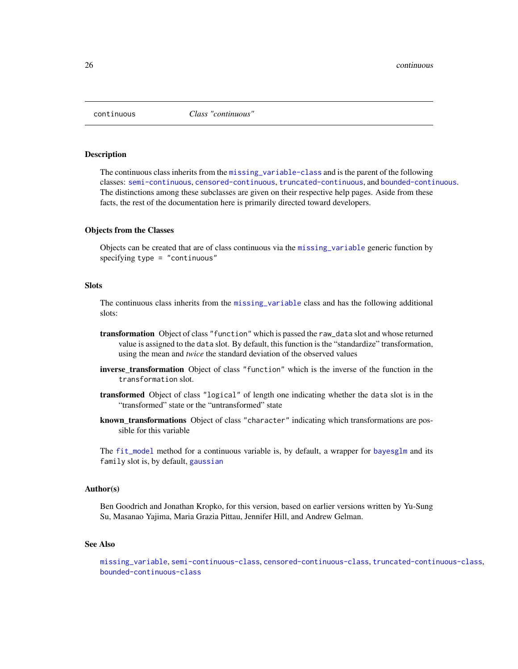<span id="page-25-0"></span>

#### <span id="page-25-1"></span>**Description**

The continuous class inherits from the [missing\\_variable-class](#page-2-1) and is the parent of the following classes: [semi-continuous](#page-42-1), [censored-continuous](#page-22-2), [truncated-continuous](#page-22-2), and [bounded-continuous](#page-20-2). The distinctions among these subclasses are given on their respective help pages. Aside from these facts, the rest of the documentation here is primarily directed toward developers.

#### Objects from the Classes

Objects can be created that are of class continuous via the [missing\\_variable](#page-2-1) generic function by specifying type = "continuous"

# **Slots**

The continuous class inherits from the [missing\\_variable](#page-2-1) class and has the following additional slots:

- transformation Object of class "function" which is passed the raw\_data slot and whose returned value is assigned to the data slot. By default, this function is the "standardize" transformation, using the mean and *twice* the standard deviation of the observed values
- inverse\_transformation Object of class "function" which is the inverse of the function in the transformation slot.
- transformed Object of class "logical" of length one indicating whether the data slot is in the "transformed" state or the "untransformed" state
- known\_transformations Object of class "character" indicating which transformations are possible for this variable

The [fit\\_model](#page-28-2) method for a continuous variable is, by default, a wrapper for [bayesglm](#page-0-0) and its family slot is, by default, [gaussian](#page-0-0)

# Author(s)

Ben Goodrich and Jonathan Kropko, for this version, based on earlier versions written by Yu-Sung Su, Masanao Yajima, Maria Grazia Pittau, Jennifer Hill, and Andrew Gelman.

#### See Also

```
missing_variable, semi-continuous-class, censored-continuous-class, truncated-continuous-class,
bounded-continuous-class
```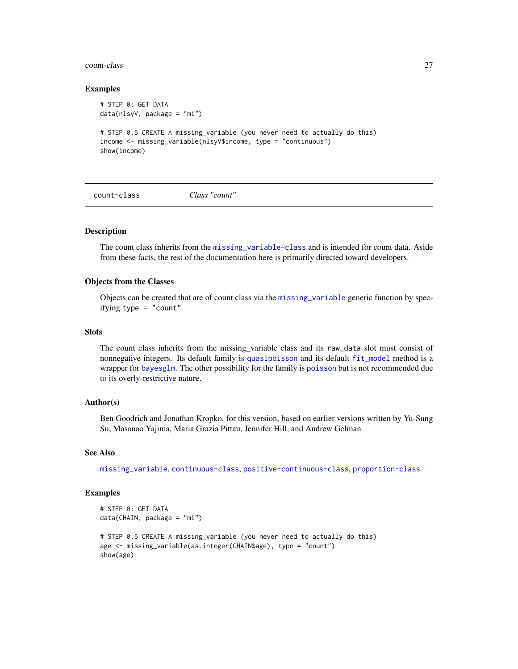#### <span id="page-26-0"></span>count-class 27

# Examples

```
# STEP 0: GET DATA
data(nlsyV, package = "mi")
# STEP 0.5 CREATE A missing_variable (you never need to actually do this)
income <- missing_variable(nlsyV$income, type = "continuous")
show(income)
```
<span id="page-26-1"></span>count-class *Class "count"*

# Description

The count class inherits from the [missing\\_variable-class](#page-2-1) and is intended for count data. Aside from these facts, the rest of the documentation here is primarily directed toward developers.

# Objects from the Classes

Objects can be created that are of count class via the [missing\\_variable](#page-2-1) generic function by specifying type  $=$  "count"

#### **Slots**

The count class inherits from the missing\_variable class and its raw\_data slot must consist of nonnegative integers. Its default family is [quasipoisson](#page-0-0) and its default [fit\\_model](#page-28-2) method is a wrapper for [bayesglm](#page-0-0). The other possibility for the family is [poisson](#page-0-0) but is not recommended due to its overly-restrictive nature.

# Author(s)

Ben Goodrich and Jonathan Kropko, for this version, based on earlier versions written by Yu-Sung Su, Masanao Yajima, Maria Grazia Pittau, Jennifer Hill, and Andrew Gelman.

#### See Also

[missing\\_variable](#page-2-1), [continuous-class](#page-25-1), [positive-continuous-class](#page-38-1), [proportion-class](#page-38-2)

# Examples

```
# STEP 0: GET DATA
data(CHAIN, package = "mi")
# STEP 0.5 CREATE A missing_variable (you never need to actually do this)
age <- missing_variable(as.integer(CHAIN$age), type = "count")
show(age)
```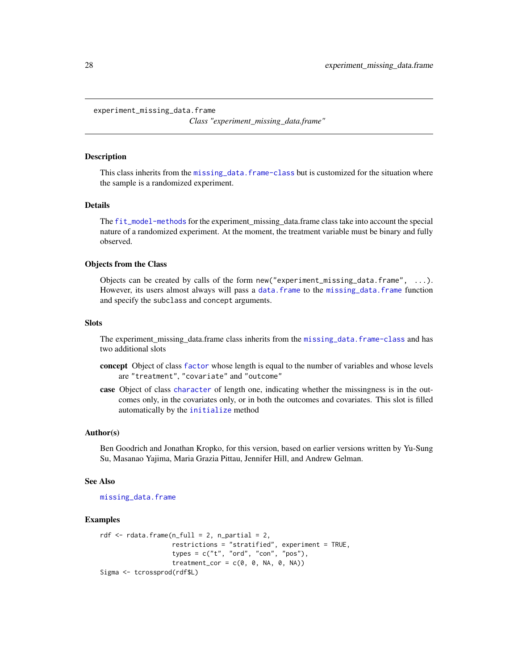<span id="page-27-1"></span><span id="page-27-0"></span>experiment\_missing\_data.frame

*Class "experiment\_missing\_data.frame"*

#### Description

This class inherits from the [missing\\_data.frame-class](#page-6-1) but is customized for the situation where the sample is a randomized experiment.

# Details

The [fit\\_model-methods](#page-28-1) for the experiment\_missing\_data.frame class take into account the special nature of a randomized experiment. At the moment, the treatment variable must be binary and fully observed.

# Objects from the Class

Objects can be created by calls of the form  $new("experiment_missing_data-frame", \ldots)$ . However, its users almost always will pass a [data.frame](#page-0-0) to the [missing\\_data.frame](#page-6-1) function and specify the subclass and concept arguments.

# **Slots**

The experiment\_missing\_data.frame class inherits from the [missing\\_data.frame-class](#page-6-1) and has two additional slots

- concept Object of class [factor](#page-0-0) whose length is equal to the number of variables and whose levels are "treatment", "covariate" and "outcome"
- case Object of class [character](#page-0-0) of length one, indicating whether the missingness is in the outcomes only, in the covariates only, or in both the outcomes and covariates. This slot is filled automatically by the [initialize](#page-0-0) method

#### Author(s)

Ben Goodrich and Jonathan Kropko, for this version, based on earlier versions written by Yu-Sung Su, Masanao Yajima, Maria Grazia Pittau, Jennifer Hill, and Andrew Gelman.

#### See Also

[missing\\_data.frame](#page-6-1)

# Examples

```
rdf \leq rdata.frame(n_full = 2, n_partial = 2,
                    restrictions = "stratified", experiment = TRUE,
                    types = c("t", "ord", "con", "pos"),
                    treatment_cor = c(\theta, \theta, NA, \theta, NA)Sigma <- tcrossprod(rdf$L)
```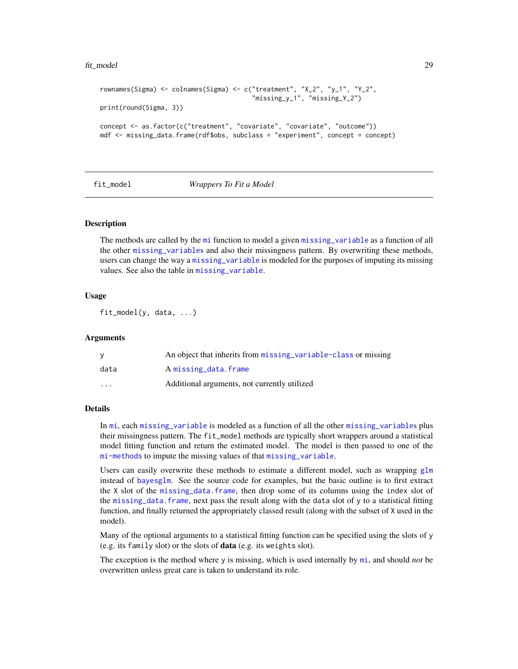#### <span id="page-28-0"></span>fit\_model 29

```
rownames(Sigma) <- colnames(Sigma) <- c("treatment", "X_2", "y_1", "Y_2",
                                        "missing_y_1", "missing_Y_2")
print(round(Sigma, 3))
concept <- as.factor(c("treatment", "covariate", "covariate", "outcome"))
mdf <- missing_data.frame(rdf$obs, subclass = "experiment", concept = concept)
```
<span id="page-28-2"></span>

#### fit\_model *Wrappers To Fit a Model*

# <span id="page-28-1"></span>**Description**

The methods are called by the [mi](#page-13-1) function to model a given [missing\\_variable](#page-2-1) as a function of all the other [missing\\_variable](#page-2-1)s and also their missingness pattern. By overwriting these methods, users can change the way a [missing\\_variable](#page-2-1) is modeled for the purposes of imputing its missing values. See also the table in [missing\\_variable](#page-2-1).

#### Usage

fit\_model(y, data, ...)

#### Arguments

| <b>V</b> | An object that inherits from missing variable-class or missing |
|----------|----------------------------------------------------------------|
| data     | A missing_data.frame                                           |
| .        | Additional arguments, not currently utilized                   |

# Details

In [mi](#page-13-1), each [missing\\_variable](#page-2-1) is modeled as a function of all the other [missing\\_variable](#page-2-1)s plus their missingness pattern. The fit\_model methods are typically short wrappers around a statistical model fitting function and return the estimated model. The model is then passed to one of the [mi-methods](#page-13-1) to impute the missing values of that [missing\\_variable](#page-2-1).

Users can easily overwrite these methods to estimate a different model, such as wrapping  $g\ln$ instead of [bayesglm](#page-0-0). See the source code for examples, but the basic outline is to first extract the X slot of the [missing\\_data.frame](#page-6-1), then drop some of its columns using the index slot of the [missing\\_data.frame](#page-6-1), next pass the result along with the data slot of y to a statistical fitting function, and finally returned the appropriately classed result (along with the subset of X used in the model).

Many of the optional arguments to a statistical fitting function can be specified using the slots of y (e.g. its family slot) or the slots of data (e.g. its weights slot).

The exception is the method where y is missing, which is used internally by [mi](#page-13-1), and should *not* be overwritten unless great care is taken to understand its role.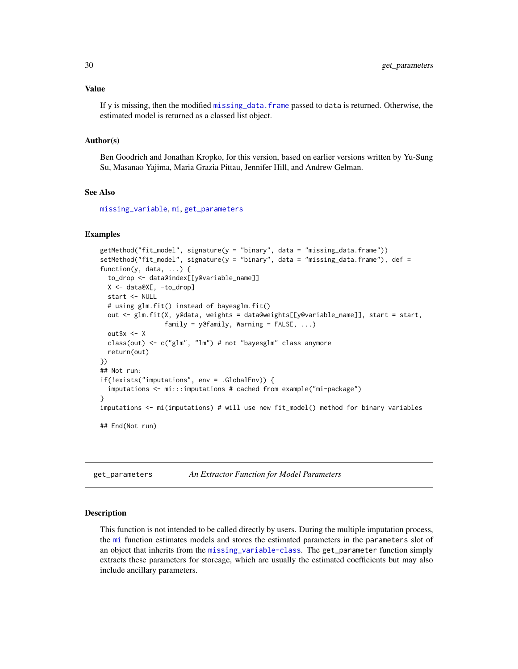#### Value

If y is missing, then the modified [missing\\_data.frame](#page-6-1) passed to data is returned. Otherwise, the estimated model is returned as a classed list object.

# Author(s)

Ben Goodrich and Jonathan Kropko, for this version, based on earlier versions written by Yu-Sung Su, Masanao Yajima, Maria Grazia Pittau, Jennifer Hill, and Andrew Gelman.

# See Also

[missing\\_variable](#page-2-1), [mi](#page-13-1), [get\\_parameters](#page-29-2)

# Examples

```
getMethod("fit_model", signature(y = "binary", data = "missing_data.frame"))
setMethod("fit_model", signature(y = "binary", data = "missing_data.frame"), def =
function(y, data, ...) {
 to_drop <- data@index[[y@variable_name]]
 X <- data@X[, -to_drop]
 start <- NULL
 # using glm.fit() instead of bayesglm.fit()
 out <- glm.fit(X, y@data, weights = data@weights[[y@variable_name]], start = start,
                 family = y@family, Warning = FALSE, ...)
 out$x <- X
 class(out) <- c("glm", "lm") # not "bayesglm" class anymore
 return(out)
})
## Not run:
if(!exists("imputations", env = .GlobalEnv)) {
 imputations <- mi:::imputations # cached from example("mi-package")
}
imputations <- mi(imputations) # will use new fit_model() method for binary variables
## End(Not run)
```
<span id="page-29-2"></span>get\_parameters *An Extractor Function for Model Parameters*

#### <span id="page-29-1"></span>**Description**

This function is not intended to be called directly by users. During the multiple imputation process, the [mi](#page-13-1) function estimates models and stores the estimated parameters in the parameters slot of an object that inherits from the [missing\\_variable-class](#page-2-1). The get\_parameter function simply extracts these parameters for storeage, which are usually the estimated coefficients but may also include ancillary parameters.

<span id="page-29-0"></span>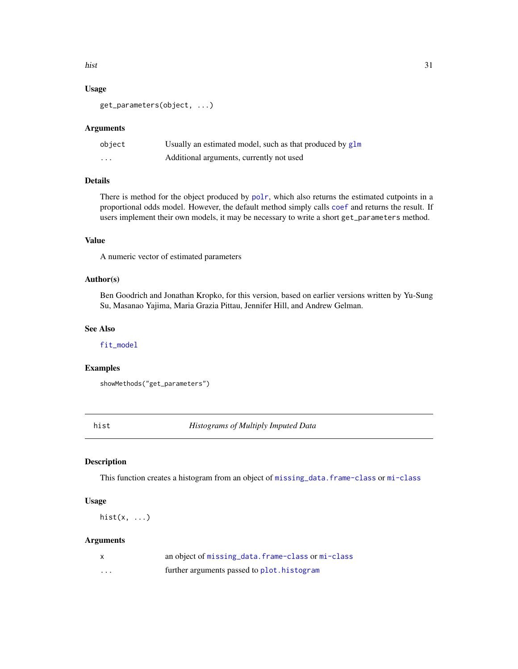<span id="page-30-0"></span>hist 31

# Usage

get\_parameters(object, ...)

# Arguments

| object                  | Usually an estimated model, such as that produced by $g1m$ |
|-------------------------|------------------------------------------------------------|
| $\cdot$ $\cdot$ $\cdot$ | Additional arguments, currently not used                   |

# Details

There is method for the object produced by [polr](#page-0-0), which also returns the estimated cutpoints in a proportional odds model. However, the default method simply calls [coef](#page-0-0) and returns the result. If users implement their own models, it may be necessary to write a short get\_parameters method.

# Value

A numeric vector of estimated parameters

# Author(s)

Ben Goodrich and Jonathan Kropko, for this version, based on earlier versions written by Yu-Sung Su, Masanao Yajima, Maria Grazia Pittau, Jennifer Hill, and Andrew Gelman.

# See Also

[fit\\_model](#page-28-2)

#### Examples

showMethods("get\_parameters")

<span id="page-30-1"></span>

hist *Histograms of Multiply Imputed Data*

#### Description

This function creates a histogram from an object of [missing\\_data.frame-class](#page-6-1) or [mi-class](#page-13-1)

# Usage

hist $(x, \ldots)$ 

# Arguments

| $\mathsf{x}$ | an object of missing data. frame-class or mi-class |
|--------------|----------------------------------------------------|
| .            | further arguments passed to plot. histogram        |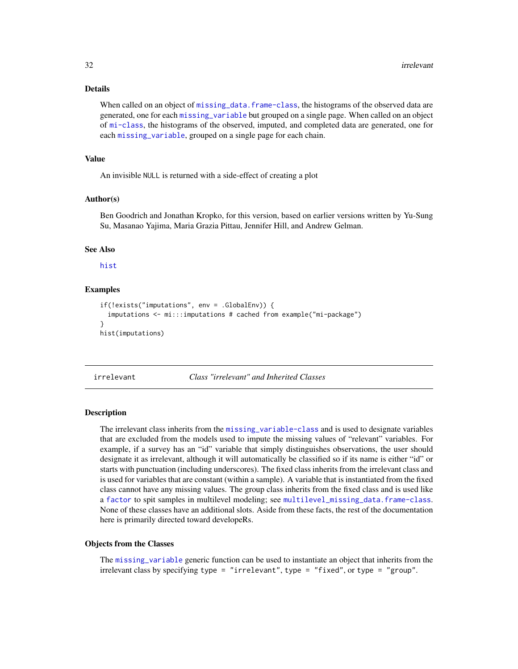# Details

When called on an object of [missing\\_data.frame-class](#page-6-1), the histograms of the observed data are generated, one for each [missing\\_variable](#page-2-1) but grouped on a single page. When called on an object of [mi-class](#page-13-1), the histograms of the observed, imputed, and completed data are generated, one for each [missing\\_variable](#page-2-1), grouped on a single page for each chain.

#### Value

An invisible NULL is returned with a side-effect of creating a plot

# Author(s)

Ben Goodrich and Jonathan Kropko, for this version, based on earlier versions written by Yu-Sung Su, Masanao Yajima, Maria Grazia Pittau, Jennifer Hill, and Andrew Gelman.

# See Also

[hist](#page-30-1)

# Examples

```
if(!exists("imputations", env = .GlobalEnv)) {
  imputations <- mi:::imputations # cached from example("mi-package")
}
hist(imputations)
```
irrelevant *Class "irrelevant" and Inherited Classes*

#### Description

The irrelevant class inherits from the [missing\\_variable-class](#page-2-1) and is used to designate variables that are excluded from the models used to impute the missing values of "relevant" variables. For example, if a survey has an "id" variable that simply distinguishes observations, the user should designate it as irrelevant, although it will automatically be classified so if its name is either "id" or starts with punctuation (including underscores). The fixed class inherits from the irrelevant class and is used for variables that are constant (within a sample). A variable that is instantiated from the fixed class cannot have any missing values. The group class inherits from the fixed class and is used like a [factor](#page-0-0) to spit samples in multilevel modeling; see [multilevel\\_missing\\_data.frame-class](#page-35-2). None of these classes have an additional slots. Aside from these facts, the rest of the documentation here is primarily directed toward developeRs.

#### Objects from the Classes

The [missing\\_variable](#page-2-1) generic function can be used to instantiate an object that inherits from the irrelevant class by specifying type = "irrelevant", type = "fixed", or type = "group".

<span id="page-31-0"></span>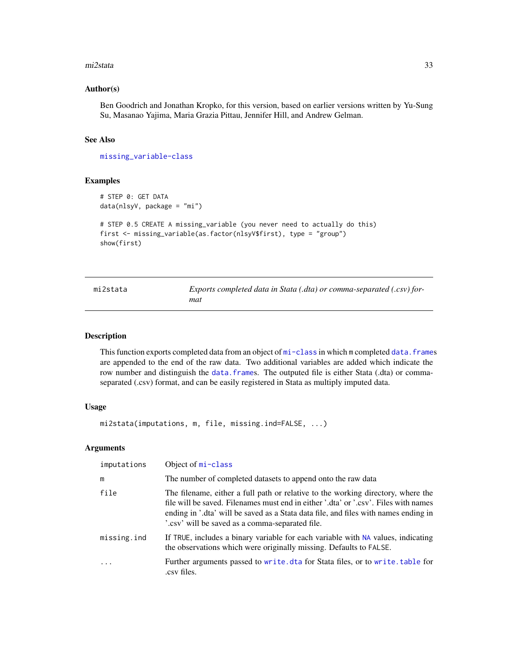#### <span id="page-32-0"></span>mi2stata 33

# Author(s)

Ben Goodrich and Jonathan Kropko, for this version, based on earlier versions written by Yu-Sung Su, Masanao Yajima, Maria Grazia Pittau, Jennifer Hill, and Andrew Gelman.

# See Also

[missing\\_variable-class](#page-2-1)

# Examples

```
# STEP 0: GET DATA
data(nlsyV, package = "mi")
```

```
# STEP 0.5 CREATE A missing_variable (you never need to actually do this)
first <- missing_variable(as.factor(nlsyV$first), type = "group")
show(first)
```

| mi2stata | Exports completed data in Stata (.dta) or comma-separated (.csv) for-<br>mat |
|----------|------------------------------------------------------------------------------|
|          |                                                                              |

# Description

This function exports completed data from an object of [mi-class](#page-13-1) in which m completed data. frames are appended to the end of the raw data. Two additional variables are added which indicate the row number and distinguish the [data.frame](#page-0-0)s. The outputed file is either Stata (.dta) or commaseparated (.csv) format, and can be easily registered in Stata as multiply imputed data.

#### Usage

```
mi2stata(imputations, m, file, missing.ind=FALSE, ...)
```
# **Arguments**

| imputations | Object of mi-class                                                                                                                                                                                                                                                                                                |
|-------------|-------------------------------------------------------------------------------------------------------------------------------------------------------------------------------------------------------------------------------------------------------------------------------------------------------------------|
| m           | The number of completed datasets to append onto the raw data                                                                                                                                                                                                                                                      |
| file        | The filename, either a full path or relative to the working directory, where the<br>file will be saved. Filenames must end in either '.dta' or '.csv'. Files with names<br>ending in '.dta' will be saved as a Stata data file, and files with names ending in<br>'.csv' will be saved as a comma-separated file. |
| missing.ind | If TRUE, includes a binary variable for each variable with NA values, indicating<br>the observations which were originally missing. Defaults to FALSE.                                                                                                                                                            |
| .           | Further arguments passed to write dta for Stata files, or to write table for<br>.csv files.                                                                                                                                                                                                                       |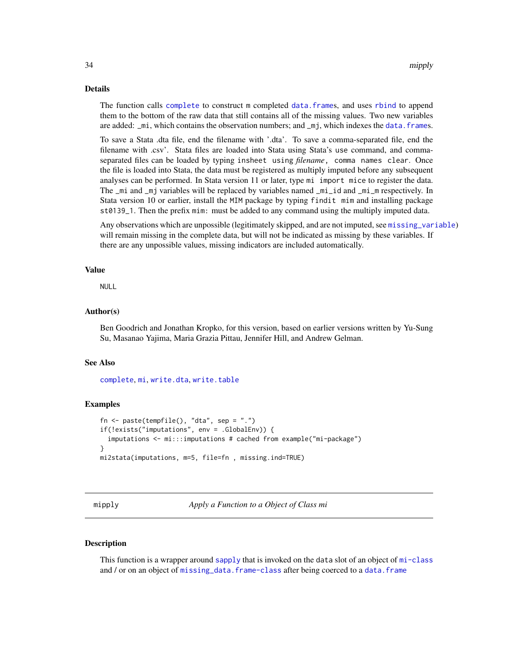# <span id="page-33-0"></span>Details

The function calls [complete](#page-18-1) to construct m completed [data.frame](#page-0-0)s, and uses [rbind](#page-0-0) to append them to the bottom of the raw data that still contains all of the missing values. Two new variables are added: \_mi, which contains the observation numbers; and \_mj, which indexes the [data.frame](#page-0-0)s.

To save a Stata .dta file, end the filename with '.dta'. To save a comma-separated file, end the filename with .csv'. Stata files are loaded into Stata using Stata's use command, and commaseparated files can be loaded by typing insheet using *filename*, comma names clear. Once the file is loaded into Stata, the data must be registered as multiply imputed before any subsequent analyses can be performed. In Stata version 11 or later, type mi import mice to register the data. The \_mi and \_mj variables will be replaced by variables named \_mi\_id and \_mi\_m respectively. In Stata version 10 or earlier, install the MIM package by typing findit mim and installing package st0139<sub>1</sub>. Then the prefix mim: must be added to any command using the multiply imputed data.

Any observations which are unpossible (legitimately skipped, and are not imputed, see [missing\\_variable](#page-2-1)) will remain missing in the complete data, but will not be indicated as missing by these variables. If there are any unpossible values, missing indicators are included automatically.

#### Value

NULL

# Author(s)

Ben Goodrich and Jonathan Kropko, for this version, based on earlier versions written by Yu-Sung Su, Masanao Yajima, Maria Grazia Pittau, Jennifer Hill, and Andrew Gelman.

## See Also

[complete](#page-18-1), [mi](#page-13-1), [write.dta](#page-0-0), [write.table](#page-0-0)

# Examples

```
fn \leq paste(tempfile(), "dta", sep = ".")
if(!exists("imputations", env = .GlobalEnv)) {
  imputations <- mi:::imputations # cached from example("mi-package")
}
mi2stata(imputations, m=5, file=fn , missing.ind=TRUE)
```
mipply *Apply a Function to a Object of Class mi*

# Description

This function is a wrapper around [sapply](#page-0-0) that is invoked on the data slot of an object of  $m\bar{i}$ -class and / or on an object of [missing\\_data.frame-class](#page-6-1) after being coerced to a [data.frame](#page-0-0)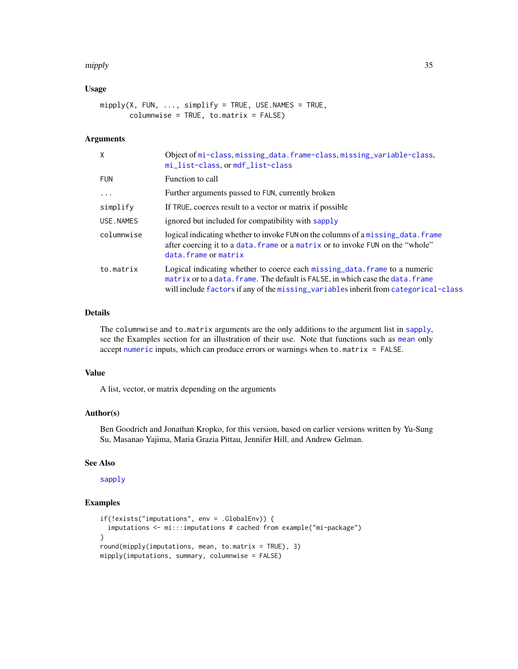#### <span id="page-34-0"></span>mipply 35

# Usage

```
mipply(X, FUN, ..., simplify = TRUE, USE.NAMES = TRUE,columnwise = TRUE, to.matrix = FALSE)
```
# Arguments

| $\mathsf{X}$ | Object of mi-class, missing_data.frame-class, missing_variable-class,<br>mi_list-class, or mdf_list-class                                                                                                                                            |
|--------------|------------------------------------------------------------------------------------------------------------------------------------------------------------------------------------------------------------------------------------------------------|
| <b>FUN</b>   | Function to call                                                                                                                                                                                                                                     |
| $\cdots$     | Further arguments passed to FUN, currently broken                                                                                                                                                                                                    |
| simplify     | If TRUE, coerces result to a vector or matrix if possible                                                                                                                                                                                            |
| USE.NAMES    | ignored but included for compatibility with sapply                                                                                                                                                                                                   |
| columnwise   | logical indicating whether to invoke FUN on the columns of a missing data. frame<br>after coercing it to a data. Frame or a matrix or to invoke FUN on the "whole"<br>data.frame or matrix                                                           |
| to.matrix    | Logical indicating whether to coerce each missing data, frame to a numeric<br>matrix or to a data. frame. The default is FALSE, in which case the data. frame<br>will include factors if any of the missing_variables inherit from categorical-class |

# Details

The columnwise and to.matrix arguments are the only additions to the argument list in [sapply](#page-0-0), see the Examples section for an illustration of their use. Note that functions such as [mean](#page-0-0) only accept [numeric](#page-0-0) inputs, which can produce errors or warnings when to.matrix = FALSE.

# Value

A list, vector, or matrix depending on the arguments

# Author(s)

Ben Goodrich and Jonathan Kropko, for this version, based on earlier versions written by Yu-Sung Su, Masanao Yajima, Maria Grazia Pittau, Jennifer Hill, and Andrew Gelman.

# See Also

[sapply](#page-0-0)

# Examples

```
if(!exists("imputations", env = .GlobalEnv)) {
 imputations <- mi:::imputations # cached from example("mi-package")
}
round(mipply(imputations, mean, to.matrix = TRUE), 3)
mipply(imputations, summary, columnwise = FALSE)
```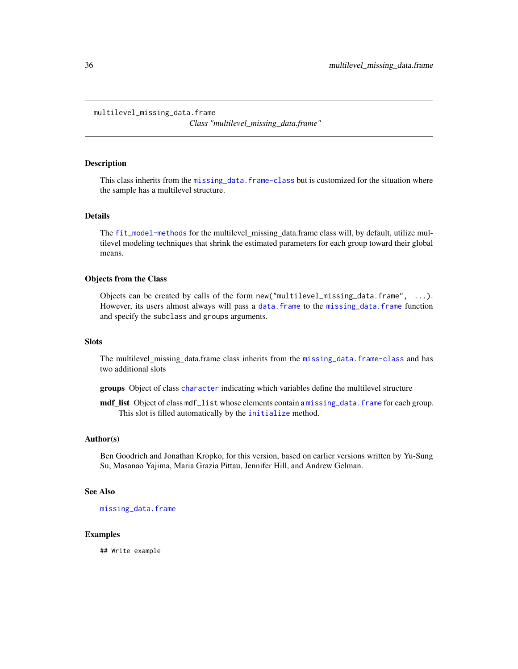<span id="page-35-1"></span><span id="page-35-0"></span>multilevel\_missing\_data.frame

*Class "multilevel\_missing\_data.frame"*

# <span id="page-35-2"></span>**Description**

This class inherits from the [missing\\_data.frame-class](#page-6-1) but is customized for the situation where the sample has a multilevel structure.

# Details

The [fit\\_model-methods](#page-28-1) for the multilevel\_missing\_data.frame class will, by default, utilize multilevel modeling techniques that shrink the estimated parameters for each group toward their global means.

# Objects from the Class

Objects can be created by calls of the form new("multilevel\_missing\_data.frame", ...). However, its users almost always will pass a [data.frame](#page-0-0) to the [missing\\_data.frame](#page-6-1) function and specify the subclass and groups arguments.

#### **Slots**

The multilevel\_missing\_data.frame class inherits from the [missing\\_data.frame-class](#page-6-1) and has two additional slots

groups Object of class [character](#page-0-0) indicating which variables define the multilevel structure

mdf\_list Object of class mdf\_list whose elements contain a [missing\\_data.frame](#page-6-1) for each group. This slot is filled automatically by the [initialize](#page-0-0) method.

#### Author(s)

Ben Goodrich and Jonathan Kropko, for this version, based on earlier versions written by Yu-Sung Su, Masanao Yajima, Maria Grazia Pittau, Jennifer Hill, and Andrew Gelman.

# See Also

[missing\\_data.frame](#page-6-1)

#### Examples

## Write example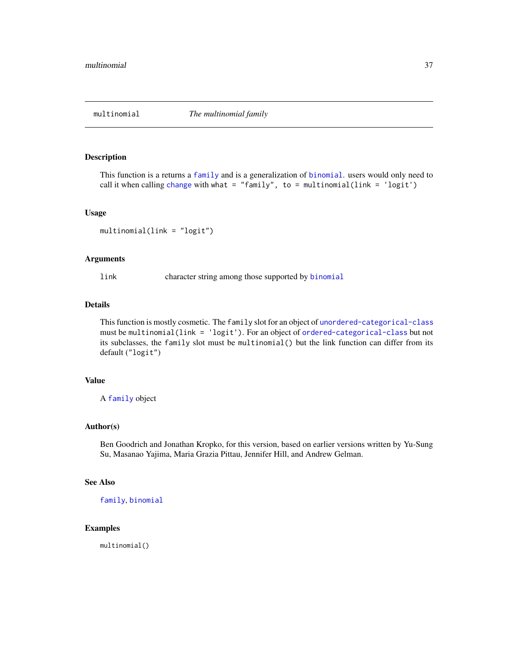<span id="page-36-1"></span><span id="page-36-0"></span>

# Description

This function is a returns a [family](#page-0-0) and is a generalization of [binomial](#page-0-0). users would only need to call it when calling [change](#page-10-1) with what = "family", to = multinomial(link = 'logit')

#### Usage

```
multinomial(link = "logit")
```
# Arguments

link character string among those supported by [binomial](#page-0-0)

# Details

This function is mostly cosmetic. The family slot for an object of [unordered-categorical-class](#page-21-1) must be multinomial(link = 'logit'). For an object of [ordered-categorical-class](#page-21-1) but not its subclasses, the family slot must be multinomial() but the link function can differ from its default ("logit")

# Value

A [family](#page-0-0) object

# Author(s)

Ben Goodrich and Jonathan Kropko, for this version, based on earlier versions written by Yu-Sung Su, Masanao Yajima, Maria Grazia Pittau, Jennifer Hill, and Andrew Gelman.

# See Also

[family](#page-0-0), [binomial](#page-0-0)

# Examples

multinomial()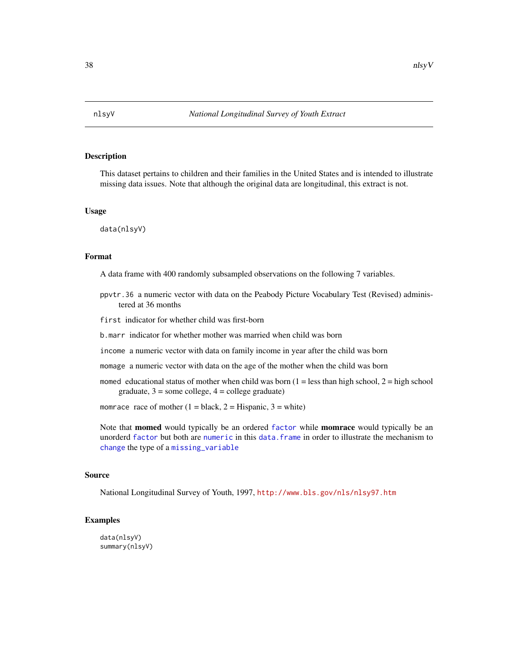<span id="page-37-0"></span>

# Description

This dataset pertains to children and their families in the United States and is intended to illustrate missing data issues. Note that although the original data are longitudinal, this extract is not.

#### Usage

data(nlsyV)

# Format

A data frame with 400 randomly subsampled observations on the following 7 variables.

ppvtr.36 a numeric vector with data on the Peabody Picture Vocabulary Test (Revised) administered at 36 months

first indicator for whether child was first-born

- b.marr indicator for whether mother was married when child was born
- income a numeric vector with data on family income in year after the child was born
- momage a numeric vector with data on the age of the mother when the child was born
- momed educational status of mother when child was born  $(1 =$ less than high school,  $2 =$ high school graduate,  $3 =$ some college,  $4 =$ college graduate)

momrace race of mother  $(1 = black, 2 = Hispanic, 3 = white)$ 

Note that **momed** would typically be an ordered [factor](#page-0-0) while **momrace** would typically be an unorderd [factor](#page-0-0) but both are [numeric](#page-0-0) in this [data.frame](#page-0-0) in order to illustrate the mechanism to [change](#page-10-1) the type of a [missing\\_variable](#page-2-1)

#### Source

National Longitudinal Survey of Youth, 1997, <http://www.bls.gov/nls/nlsy97.htm>

# Examples

data(nlsyV) summary(nlsyV)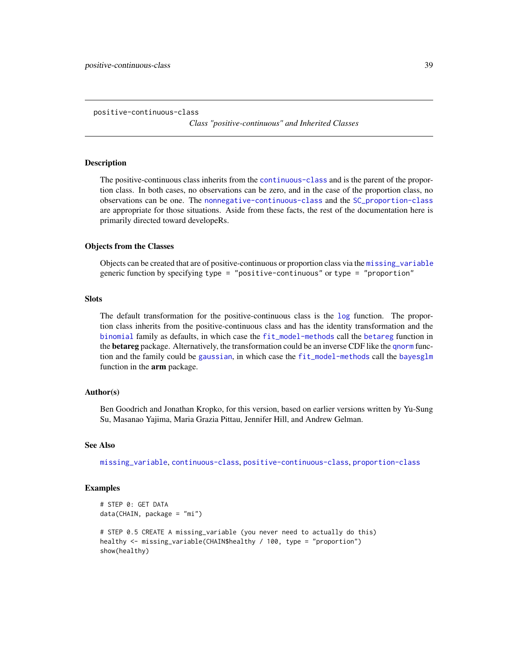```
positive-continuous-class
```
*Class "positive-continuous" and Inherited Classes*

### <span id="page-38-2"></span>Description

The positive-continuous class inherits from the [continuous-class](#page-25-1) and is the parent of the proportion class. In both cases, no observations can be zero, and in the case of the proportion class, no observations can be one. The [nonnegative-continuous-class](#page-42-1) and the [SC\\_proportion-class](#page-42-1) are appropriate for those situations. Aside from these facts, the rest of the documentation here is primarily directed toward developeRs.

# Objects from the Classes

Objects can be created that are of positive-continuous or proportion class via the [missing\\_variable](#page-2-1) generic function by specifying type = "positive-continuous" or type = "proportion"

# **Slots**

The default transformation for the positive-continuous class is the [log](#page-0-0) function. The proportion class inherits from the positive-continuous class and has the identity transformation and the [binomial](#page-0-0) family as defaults, in which case the [fit\\_model-methods](#page-28-1) call the [betareg](#page-0-0) function in the **betareg** package. Alternatively, the transformation could be an inverse CDF like the [qnorm](#page-0-0) function and the family could be [gaussian](#page-0-0), in which case the [fit\\_model-methods](#page-28-1) call the [bayesglm](#page-0-0) function in the **arm** package.

# Author(s)

Ben Goodrich and Jonathan Kropko, for this version, based on earlier versions written by Yu-Sung Su, Masanao Yajima, Maria Grazia Pittau, Jennifer Hill, and Andrew Gelman.

# See Also

[missing\\_variable](#page-2-1), [continuous-class](#page-25-1), [positive-continuous-class](#page-38-1), [proportion-class](#page-38-2)

# Examples

```
# STEP 0: GET DATA
data(CHAIN, package = "mi")
# STEP 0.5 CREATE A missing_variable (you never need to actually do this)
healthy <- missing_variable(CHAIN$healthy / 100, type = "proportion")
show(healthy)
```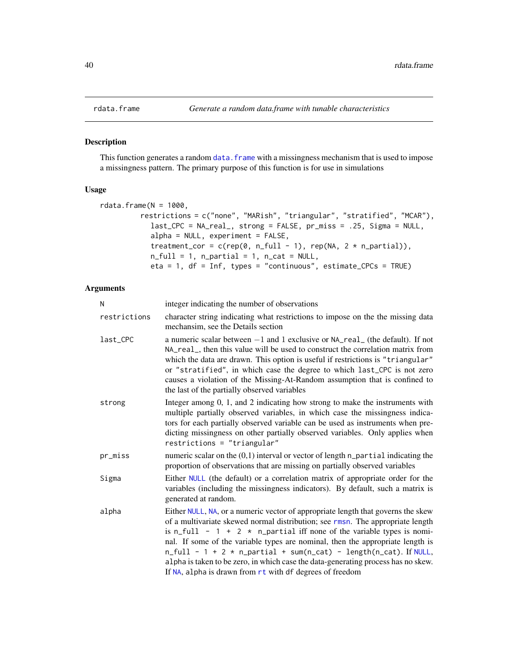<span id="page-39-0"></span>

# Description

This function generates a random data. frame with a missingness mechanism that is used to impose a missingness pattern. The primary purpose of this function is for use in simulations

# Usage

```
rdata.frame(N = 1000,restrictions = c("none", "MARish", "triangular", "stratified", "MCAR"),
            last_CPC = NA_real_, strong = FALSE, pr_miss = .25, Sigma = NULL,
            alpha = NULL, experiment = FALSE,
            treatment_cor = c(rep(\theta, n_full - 1), rep(NA, 2 * n_partial)),n_full = 1, n_partial = 1, n_cat = NULL,
            eta = 1, df = Inf, types = "continuous", estimate_CPCs = TRUE)
```
# Arguments

| N            | integer indicating the number of observations                                                                                                                                                                                                                                                                                                                                                                                                                                                                                                                  |
|--------------|----------------------------------------------------------------------------------------------------------------------------------------------------------------------------------------------------------------------------------------------------------------------------------------------------------------------------------------------------------------------------------------------------------------------------------------------------------------------------------------------------------------------------------------------------------------|
| restrictions | character string indicating what restrictions to impose on the the missing data<br>mechansim, see the Details section                                                                                                                                                                                                                                                                                                                                                                                                                                          |
| last_CPC     | a numeric scalar between $-1$ and 1 exclusive or $NA_{real_{n}}$ (the default). If not<br>NA_real_, then this value will be used to construct the correlation matrix from<br>which the data are drawn. This option is useful if restrictions is "triangular"<br>or "stratified", in which case the degree to which last_CPC is not zero<br>causes a violation of the Missing-At-Random assumption that is confined to<br>the last of the partially observed variables                                                                                          |
| strong       | Integer among 0, 1, and 2 indicating how strong to make the instruments with<br>multiple partially observed variables, in which case the missingness indica-<br>tors for each partially observed variable can be used as instruments when pre-<br>dicting missingness on other partially observed variables. Only applies when<br>restrictions = "triangular"                                                                                                                                                                                                  |
| pr_miss      | numeric scalar on the $(0,1)$ interval or vector of length $n$ -partial indicating the<br>proportion of observations that are missing on partially observed variables                                                                                                                                                                                                                                                                                                                                                                                          |
| Sigma        | Either NULL (the default) or a correlation matrix of appropriate order for the<br>variables (including the missingness indicators). By default, such a matrix is<br>generated at random.                                                                                                                                                                                                                                                                                                                                                                       |
| alpha        | Either NULL, NA, or a numeric vector of appropriate length that governs the skew<br>of a multivariate skewed normal distribution; see rmsn. The appropriate length<br>is n_full - $1 + 2 \times n$ _partial iff none of the variable types is nomi-<br>nal. If some of the variable types are nominal, then the appropriate length is<br>$n_full - 1 + 2 * n_partial + sum(n_cat) - length(n_cat)$ . If NULL,<br>alpha is taken to be zero, in which case the data-generating process has no skew.<br>If NA, alpha is drawn from rt with df degrees of freedom |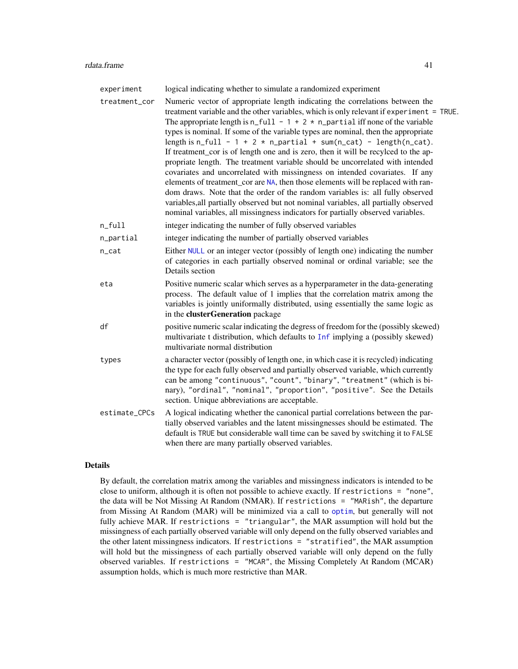<span id="page-40-0"></span>experiment logical indicating whether to simulate a randomized experiment treatment\_cor Numeric vector of appropriate length indicating the correlations between the treatment variable and the other variables, which is only relevant if experiment = TRUE. The appropriate length is  $n_full - 1 + 2 * n_p$  partial iff none of the variable types is nominal. If some of the variable types are nominal, then the appropriate length is  $n_full - 1 + 2 * n_partial + sum(n_cat) - length(n_cat)$ . If treatment\_cor is of length one and is zero, then it will be recylced to the appropriate length. The treatment variable should be uncorrelated with intended covariates and uncorrelated with missingness on intended covariates. If any elements of treatment cor are [NA](#page-0-0), then those elements will be replaced with random draws. Note that the order of the random variables is: all fully observed variables,all partially observed but not nominal variables, all partially observed nominal variables, all missingness indicators for partially observed variables. n\_full integer indicating the number of fully observed variables n\_partial integer indicating the number of partially observed variables n\_cat Either [NULL](#page-0-0) or an integer vector (possibly of length one) indicating the number of categories in each partially observed nominal or ordinal variable; see the Details section eta Positive numeric scalar which serves as a hyperparameter in the data-generating process. The default value of 1 implies that the correlation matrix among the variables is jointly uniformally distributed, using essentially the same logic as in the clusterGeneration package df positive numeric scalar indicating the degress of freedom for the (possibly skewed) multivariate t distribution, which defaults to [Inf](#page-0-0) implying a (possibly skewed) multivariate normal distribution types a character vector (possibly of length one, in which case it is recycled) indicating the type for each fully observed and partially observed variable, which currently can be among "continuous", "count", "binary", "treatment" (which is binary), "ordinal", "nominal", "proportion", "positive". See the Details section. Unique abbreviations are acceptable. estimate\_CPCs A logical indicating whether the canonical partial correlations between the partially observed variables and the latent missingnesses should be estimated. The default is TRUE but considerable wall time can be saved by switching it to FALSE when there are many partially observed variables.

# Details

By default, the correlation matrix among the variables and missingness indicators is intended to be close to uniform, although it is often not possible to achieve exactly. If restrictions = "none", the data will be Not Missing At Random (NMAR). If restrictions = "MARish", the departure from Missing At Random (MAR) will be minimized via a call to [optim](#page-0-0), but generally will not fully achieve MAR. If restrictions = "triangular", the MAR assumption will hold but the missingness of each partially observed variable will only depend on the fully observed variables and the other latent missingness indicators. If restrictions = "stratified", the MAR assumption will hold but the missingness of each partially observed variable will only depend on the fully observed variables. If restrictions = "MCAR", the Missing Completely At Random (MCAR) assumption holds, which is much more restrictive than MAR.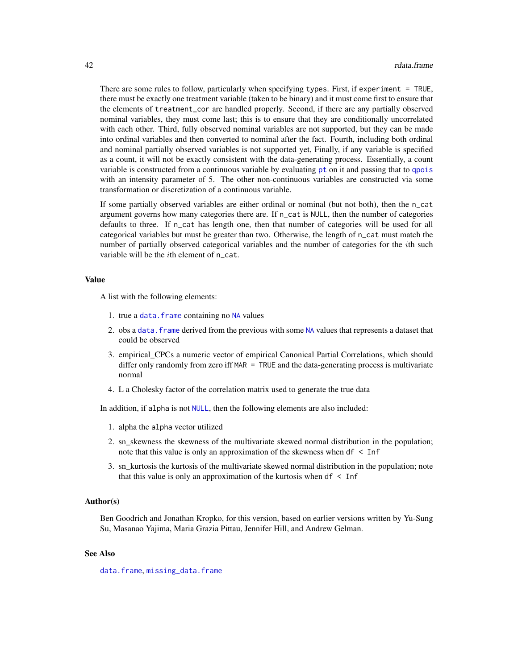<span id="page-41-0"></span>There are some rules to follow, particularly when specifying types. First, if experiment = TRUE, there must be exactly one treatment variable (taken to be binary) and it must come first to ensure that the elements of treatment\_cor are handled properly. Second, if there are any partially observed nominal variables, they must come last; this is to ensure that they are conditionally uncorrelated with each other. Third, fully observed nominal variables are not supported, but they can be made into ordinal variables and then converted to nominal after the fact. Fourth, including both ordinal and nominal partially observed variables is not supported yet, Finally, if any variable is specified as a count, it will not be exactly consistent with the data-generating process. Essentially, a count variable is constructed from a continuous variable by evaluating [pt](#page-0-0) on it and passing that to [qpois](#page-0-0) with an intensity parameter of 5. The other non-continuous variables are constructed via some transformation or discretization of a continuous variable.

If some partially observed variables are either ordinal or nominal (but not both), then the n\_cat argument governs how many categories there are. If n\_cat is NULL, then the number of categories defaults to three. If n\_cat has length one, then that number of categories will be used for all categorical variables but must be greater than two. Otherwise, the length of n\_cat must match the number of partially observed categorical variables and the number of categories for the ith such variable will be the *i*th element of n\_cat.

# Value

A list with the following elements:

- 1. true a data. frame containing no [NA](#page-0-0) values
- 2. obs a [data.frame](#page-0-0) derived from the previous with some [NA](#page-0-0) values that represents a dataset that could be observed
- 3. empirical\_CPCs a numeric vector of empirical Canonical Partial Correlations, which should differ only randomly from zero iff MAR = TRUE and the data-generating process is multivariate normal
- 4. L a Cholesky factor of the correlation matrix used to generate the true data

In addition, if alpha is not [NULL](#page-0-0), then the following elements are also included:

- 1. alpha the alpha vector utilized
- 2. sn\_skewness the skewness of the multivariate skewed normal distribution in the population; note that this value is only an approximation of the skewness when df < Inf
- 3. sn\_kurtosis the kurtosis of the multivariate skewed normal distribution in the population; note that this value is only an approximation of the kurtosis when  $df <$  Inf

# Author(s)

Ben Goodrich and Jonathan Kropko, for this version, based on earlier versions written by Yu-Sung Su, Masanao Yajima, Maria Grazia Pittau, Jennifer Hill, and Andrew Gelman.

# See Also

[data.frame](#page-0-0), [missing\\_data.frame](#page-6-1)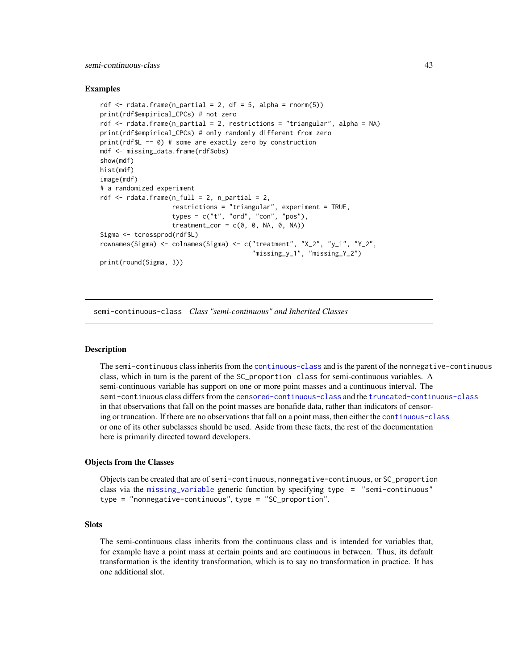#### <span id="page-42-0"></span>semi-continuous-class 43

# Examples

```
rdf \le rdata.frame(n_partial = 2, df = 5, alpha = rnorm(5))
print(rdf$empirical_CPCs) # not zero
rdf <- rdata.frame(n_partial = 2, restrictions = "triangular", alpha = NA)
print(rdf$empirical_CPCs) # only randomly different from zero
print(rdf$L == 0) # some are exactly zero by construction
mdf <- missing_data.frame(rdf$obs)
show(mdf)
hist(mdf)
image(mdf)
# a randomized experiment
rdf \leq rdata.frame(n_full = 2, n_partial = 2,
                   restrictions = "triangular", experiment = TRUE,
                   types = c("t", "ord", "con", "pos"),
                   treatment_cor = c(0, 0, NA, 0, NA))
Sigma <- tcrossprod(rdf$L)
rownames(Sigma) <- colnames(Sigma) <- c("treatment", "X_2", "y_1", "Y_2",
                                        "missing_y_1", "missing_Y_2")
print(round(Sigma, 3))
```
<span id="page-42-2"></span>semi-continuous-class *Class "semi-continuous" and Inherited Classes*

# <span id="page-42-1"></span>**Description**

The semi-continuous class inherits from the [continuous-class](#page-25-1) and is the parent of the nonnegative-continuous class, which in turn is the parent of the SC\_proportion class for semi-continuous variables. A semi-continuous variable has support on one or more point masses and a continuous interval. The semi-continuous class differs from the [censored-continuous-class](#page-22-1) and the [truncated-continuous-class](#page-22-2) in that observations that fall on the point masses are bonafide data, rather than indicators of censoring or truncation. If there are no observations that fall on a point mass, then either the [continuous-class](#page-25-1) or one of its other subclasses should be used. Aside from these facts, the rest of the documentation here is primarily directed toward developers.

#### Objects from the Classes

Objects can be created that are of semi-continuous, nonnegative-continuous, or SC\_proportion class via the [missing\\_variable](#page-2-1) generic function by specifying type = "semi-continuous" type = "nonnegative-continuous", type = "SC\_proportion".

# **Slots**

The semi-continuous class inherits from the continuous class and is intended for variables that, for example have a point mass at certain points and are continuous in between. Thus, its default transformation is the identity transformation, which is to say no transformation in practice. It has one additional slot.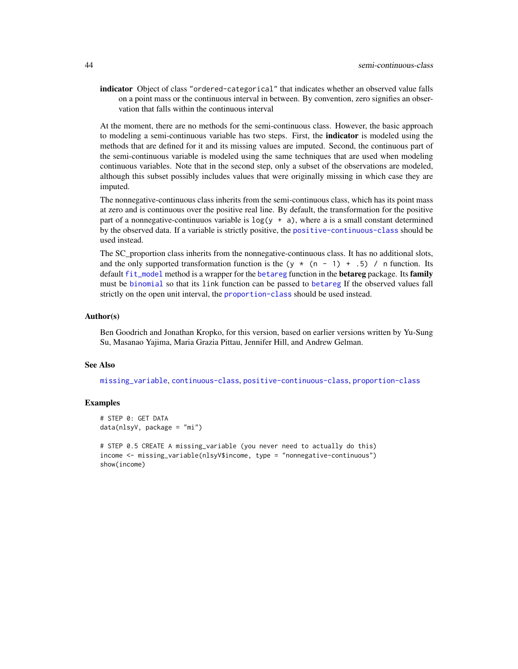<span id="page-43-0"></span>indicator Object of class "ordered-categorical" that indicates whether an observed value falls on a point mass or the continuous interval in between. By convention, zero signifies an observation that falls within the continuous interval

At the moment, there are no methods for the semi-continuous class. However, the basic approach to modeling a semi-continuous variable has two steps. First, the **indicator** is modeled using the methods that are defined for it and its missing values are imputed. Second, the continuous part of the semi-continuous variable is modeled using the same techniques that are used when modeling continuous variables. Note that in the second step, only a subset of the observations are modeled, although this subset possibly includes values that were originally missing in which case they are imputed.

The nonnegative-continuous class inherits from the semi-continuous class, which has its point mass at zero and is continuous over the positive real line. By default, the transformation for the positive part of a nonnegative-continuuos variable is  $log(y + a)$ , where a is a small constant determined by the observed data. If a variable is strictly positive, the [positive-continuous-class](#page-38-1) should be used instead.

The SC proportion class inherits from the nonnegative-continuous class. It has no additional slots, and the only supported transformation function is the (y  $\star$  (n - 1) + .5) / n function. Its default [fit\\_model](#page-28-2) method is a wrapper for the [betareg](#page-0-0) function in the **betareg** package. Its family must be [binomial](#page-0-0) so that its link function can be passed to [betareg](#page-0-0) If the observed values fall strictly on the open unit interval, the [proportion-class](#page-38-2) should be used instead.

#### Author(s)

Ben Goodrich and Jonathan Kropko, for this version, based on earlier versions written by Yu-Sung Su, Masanao Yajima, Maria Grazia Pittau, Jennifer Hill, and Andrew Gelman.

# See Also

[missing\\_variable](#page-2-1), [continuous-class](#page-25-1), [positive-continuous-class](#page-38-1), [proportion-class](#page-38-2)

# Examples

```
# STEP 0: GET DATA
data(nlsyV, package = "mi")
```

```
# STEP 0.5 CREATE A missing_variable (you never need to actually do this)
income <- missing_variable(nlsyV$income, type = "nonnegative-continuous")
show(income)
```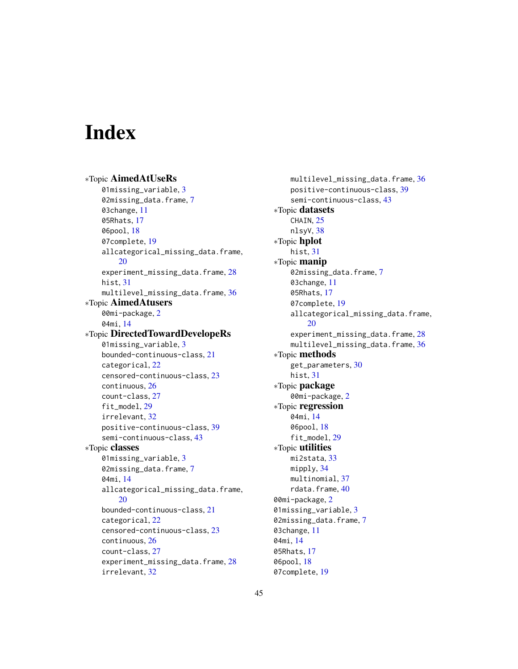# <span id="page-44-0"></span>**Index**

∗Topic AimedAtUseRs 01missing\_variable, [3](#page-2-0) 02missing\_data.frame, [7](#page-6-0) 03change, [11](#page-10-0) 05Rhats, [17](#page-16-0) 06pool, [18](#page-17-0) 07complete, [19](#page-18-0) allcategorical\_missing\_data.frame, [20](#page-19-0) experiment\_missing\_data.frame, [28](#page-27-0) hist, [31](#page-30-0) multilevel\_missing\_data.frame, [36](#page-35-0) ∗Topic AimedAtusers 00mi-package, [2](#page-1-0) 04mi, [14](#page-13-0) ∗Topic DirectedTowardDevelopeRs 01missing\_variable, [3](#page-2-0) bounded-continuous-class, [21](#page-20-0) categorical, [22](#page-21-0) censored-continuous-class, [23](#page-22-0) continuous, [26](#page-25-0) count-class, [27](#page-26-0) fit\_model, [29](#page-28-0) irrelevant, [32](#page-31-0) positive-continuous-class, [39](#page-38-0) semi-continuous-class, [43](#page-42-0) ∗Topic classes 01missing\_variable, [3](#page-2-0) 02missing\_data.frame, [7](#page-6-0) 04mi, [14](#page-13-0) allcategorical\_missing\_data.frame, [20](#page-19-0) bounded-continuous-class, [21](#page-20-0) categorical, [22](#page-21-0) censored-continuous-class, [23](#page-22-0) continuous, [26](#page-25-0) count-class, [27](#page-26-0) experiment\_missing\_data.frame, [28](#page-27-0) irrelevant, [32](#page-31-0)

multilevel\_missing\_data.frame, [36](#page-35-0) positive-continuous-class, [39](#page-38-0) semi-continuous-class, [43](#page-42-0) ∗Topic datasets CHAIN, [25](#page-24-0) nlsyV, [38](#page-37-0) ∗Topic hplot hist, [31](#page-30-0) ∗Topic manip 02missing\_data.frame, [7](#page-6-0) 03change, [11](#page-10-0) 05Rhats, [17](#page-16-0) 07complete, [19](#page-18-0) allcategorical\_missing\_data.frame, [20](#page-19-0) experiment\_missing\_data.frame, [28](#page-27-0) multilevel\_missing\_data.frame, [36](#page-35-0) ∗Topic methods get\_parameters, [30](#page-29-0) hist, [31](#page-30-0) ∗Topic package 00mi-package, [2](#page-1-0) ∗Topic regression 04mi, [14](#page-13-0) 06pool, [18](#page-17-0) fit\_model, [29](#page-28-0) ∗Topic utilities mi2stata, [33](#page-32-0) mipply, [34](#page-33-0) multinomial, [37](#page-36-0) rdata.frame, [40](#page-39-0) 00mi-package, [2](#page-1-0) 01missing\_variable, [3](#page-2-0) 02missing\_data.frame, [7](#page-6-0) 03change, [11](#page-10-0) 04mi, [14](#page-13-0) 05Rhats, [17](#page-16-0) 06pool, [18](#page-17-0)

07complete, [19](#page-18-0)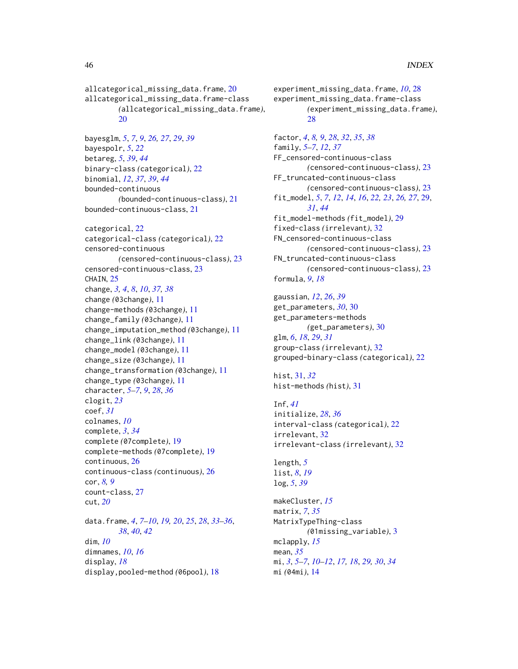allcategorical\_missing\_data.frame, [20](#page-19-0) allcategorical\_missing\_data.frame-class *(*allcategorical\_missing\_data.frame*)*,  $20$ 

```
bayesglm, 5, 7, 9, 26, 27, 29, 39
bayespolr, 5, 22
betareg, 5, 39, 44
binary-class (categorical), 22
binomial, 12, 37, 39, 44
bounded-continuous
        (bounded-continuous-class), 21
bounded-continuous-class, 21
```
categorical, [22](#page-21-0) categorical-class *(*categorical*)*, [22](#page-21-0) censored-continuous *(*censored-continuous-class*)*, [23](#page-22-0) censored-continuous-class, [23](#page-22-0) CHAIN, [25](#page-24-0) change, *[3,](#page-2-0) [4](#page-3-0)*, *[8](#page-7-0)*, *[10](#page-9-0)*, *[37,](#page-36-0) [38](#page-37-0)* change *(*03change*)*, [11](#page-10-0) change-methods *(*03change*)*, [11](#page-10-0) change\_family *(*03change*)*, [11](#page-10-0) change\_imputation\_method *(*03change*)*, [11](#page-10-0) change\_link *(*03change*)*, [11](#page-10-0) change\_model *(*03change*)*, [11](#page-10-0) change\_size *(*03change*)*, [11](#page-10-0) change\_transformation *(*03change*)*, [11](#page-10-0) change\_type *(*03change*)*, [11](#page-10-0) character, *[5](#page-4-0)[–7](#page-6-0)*, *[9](#page-8-0)*, *[28](#page-27-0)*, *[36](#page-35-0)* clogit, *[23](#page-22-0)* coef, *[31](#page-30-0)* colnames, *[10](#page-9-0)* complete, *[3](#page-2-0)*, *[34](#page-33-0)* complete *(*07complete*)*, [19](#page-18-0) complete-methods *(*07complete*)*, [19](#page-18-0) continuous, [26](#page-25-0) continuous-class *(*continuous*)*, [26](#page-25-0) cor, *[8,](#page-7-0) [9](#page-8-0)* count-class, [27](#page-26-0) cut, *[20](#page-19-0)* data.frame, *[4](#page-3-0)*, *[7](#page-6-0)[–10](#page-9-0)*, *[19,](#page-18-0) [20](#page-19-0)*, *[25](#page-24-0)*, *[28](#page-27-0)*, *[33–](#page-32-0)[36](#page-35-0)*, *[38](#page-37-0)*, *[40](#page-39-0)*, *[42](#page-41-0)* dim, *[10](#page-9-0)* dimnames, *[10](#page-9-0)*, *[16](#page-15-0)*

display, *[18](#page-17-0)* display,pooled-method *(*06pool*)*, [18](#page-17-0) experiment\_missing\_data.frame, *[10](#page-9-0)*, [28](#page-27-0) experiment\_missing\_data.frame-class *(*experiment\_missing\_data.frame*)*,  $28$ 

factor, *[4](#page-3-0)*, *[8,](#page-7-0) [9](#page-8-0)*, *[28](#page-27-0)*, *[32](#page-31-0)*, *[35](#page-34-0)*, *[38](#page-37-0)* family, *[5](#page-4-0)[–7](#page-6-0)*, *[12](#page-11-0)*, *[37](#page-36-0)* FF\_censored-continuous-class *(*censored-continuous-class*)*, [23](#page-22-0) FF\_truncated-continuous-class *(*censored-continuous-class*)*, [23](#page-22-0) fit\_model, *[5](#page-4-0)*, *[7](#page-6-0)*, *[12](#page-11-0)*, *[14](#page-13-0)*, *[16](#page-15-0)*, *[22,](#page-21-0) [23](#page-22-0)*, *[26,](#page-25-0) [27](#page-26-0)*, [29,](#page-28-0) *[31](#page-30-0)*, *[44](#page-43-0)* fit\_model-methods *(*fit\_model*)*, [29](#page-28-0) fixed-class *(*irrelevant*)*, [32](#page-31-0) FN\_censored-continuous-class *(*censored-continuous-class*)*, [23](#page-22-0) FN\_truncated-continuous-class *(*censored-continuous-class*)*, [23](#page-22-0) formula, *[9](#page-8-0)*, *[18](#page-17-0)*

gaussian, *[12](#page-11-0)*, *[26](#page-25-0)*, *[39](#page-38-0)* get\_parameters, *[30](#page-29-0)*, [30](#page-29-0) get\_parameters-methods *(*get\_parameters*)*, [30](#page-29-0) glm, *[6](#page-5-0)*, *[18](#page-17-0)*, *[29](#page-28-0)*, *[31](#page-30-0)* group-class *(*irrelevant*)*, [32](#page-31-0) grouped-binary-class *(*categorical*)*, [22](#page-21-0)

hist, [31,](#page-30-0) *[32](#page-31-0)* hist-methods *(*hist*)*, [31](#page-30-0)

Inf, *[41](#page-40-0)* initialize, *[28](#page-27-0)*, *[36](#page-35-0)* interval-class *(*categorical*)*, [22](#page-21-0) irrelevant, [32](#page-31-0) irrelevant-class *(*irrelevant*)*, [32](#page-31-0)

length, *[5](#page-4-0)* list, *[8](#page-7-0)*, *[19](#page-18-0)* log, *[5](#page-4-0)*, *[39](#page-38-0)*

makeCluster, *[15](#page-14-0)* matrix, *[7](#page-6-0)*, *[35](#page-34-0)* MatrixTypeThing-class *(*01missing\_variable*)*, [3](#page-2-0) mclapply, *[15](#page-14-0)* mean, *[35](#page-34-0)* mi, *[3](#page-2-0)*, *[5–](#page-4-0)[7](#page-6-0)*, *[10](#page-9-0)[–12](#page-11-0)*, *[17,](#page-16-0) [18](#page-17-0)*, *[29,](#page-28-0) [30](#page-29-0)*, *[34](#page-33-0)* mi *(*04mi*)*, [14](#page-13-0)